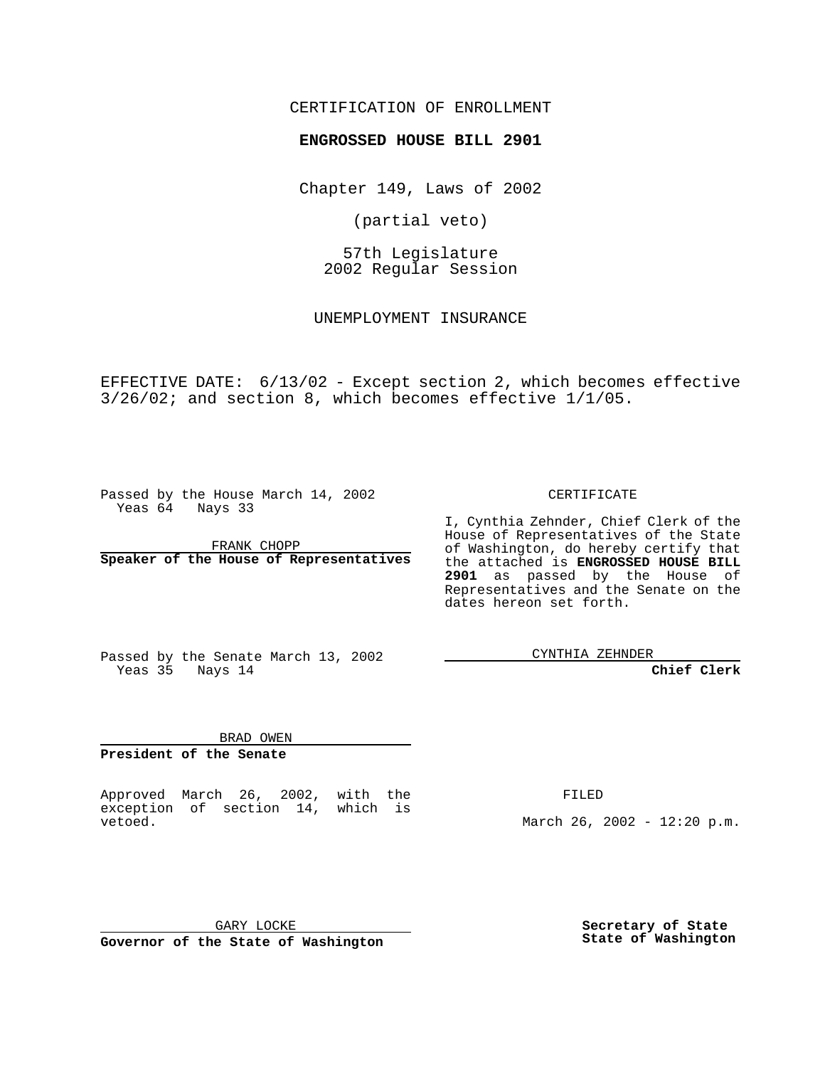### CERTIFICATION OF ENROLLMENT

# **ENGROSSED HOUSE BILL 2901**

Chapter 149, Laws of 2002

(partial veto)

57th Legislature 2002 Regular Session

UNEMPLOYMENT INSURANCE

EFFECTIVE DATE: 6/13/02 - Except section 2, which becomes effective 3/26/02; and section 8, which becomes effective 1/1/05.

Passed by the House March 14, 2002 Yeas 64 Nays 33

FRANK CHOPP **Speaker of the House of Representatives** CERTIFICATE

I, Cynthia Zehnder, Chief Clerk of the House of Representatives of the State of Washington, do hereby certify that the attached is **ENGROSSED HOUSE BILL 2901** as passed by the House of Representatives and the Senate on the dates hereon set forth.

Passed by the Senate March 13, 2002 Yeas 35 Nays 14

CYNTHIA ZEHNDER

**Chief Clerk**

BRAD OWEN **President of the Senate**

Approved March 26, 2002, with the exception of section 14, which is vetoed.

FILED

March 26, 2002 - 12:20 p.m.

GARY LOCKE **Governor of the State of Washington**

**Secretary of State State of Washington**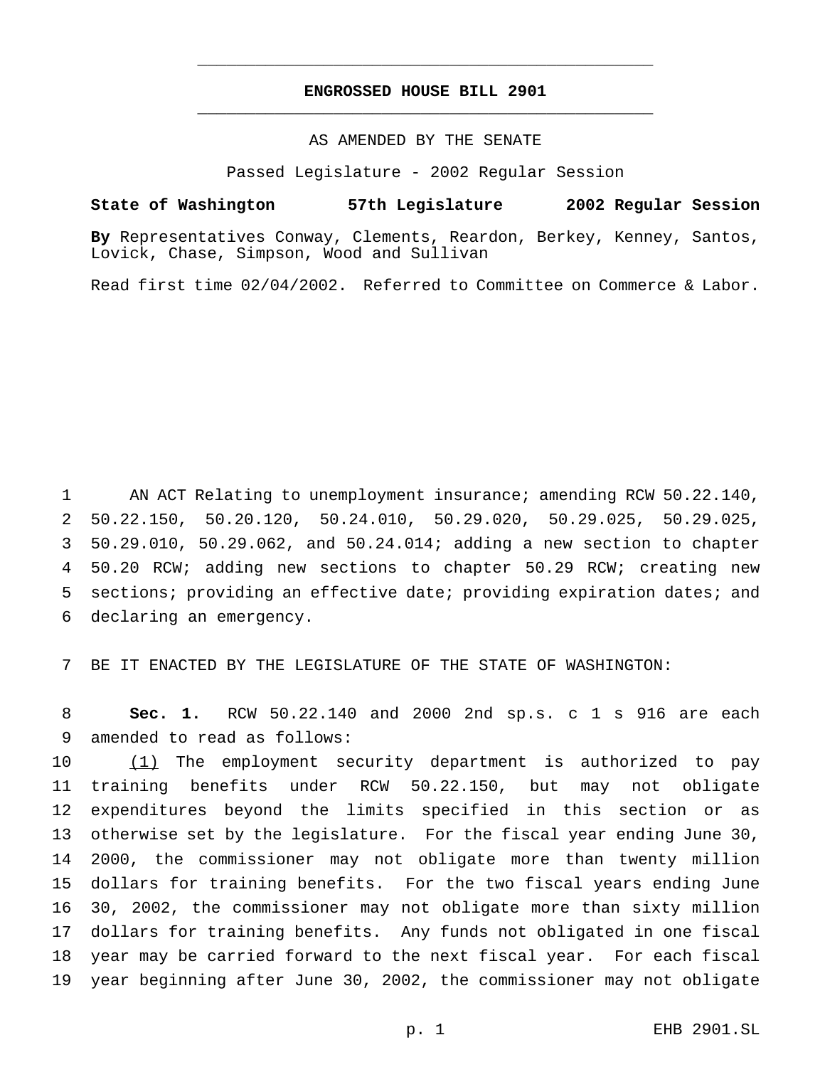## **ENGROSSED HOUSE BILL 2901** \_\_\_\_\_\_\_\_\_\_\_\_\_\_\_\_\_\_\_\_\_\_\_\_\_\_\_\_\_\_\_\_\_\_\_\_\_\_\_\_\_\_\_\_\_\_\_

\_\_\_\_\_\_\_\_\_\_\_\_\_\_\_\_\_\_\_\_\_\_\_\_\_\_\_\_\_\_\_\_\_\_\_\_\_\_\_\_\_\_\_\_\_\_\_

### AS AMENDED BY THE SENATE

Passed Legislature - 2002 Regular Session

#### **State of Washington 57th Legislature 2002 Regular Session**

**By** Representatives Conway, Clements, Reardon, Berkey, Kenney, Santos, Lovick, Chase, Simpson, Wood and Sullivan

Read first time 02/04/2002. Referred to Committee on Commerce & Labor.

 AN ACT Relating to unemployment insurance; amending RCW 50.22.140, 50.22.150, 50.20.120, 50.24.010, 50.29.020, 50.29.025, 50.29.025, 50.29.010, 50.29.062, and 50.24.014; adding a new section to chapter 50.20 RCW; adding new sections to chapter 50.29 RCW; creating new 5 sections; providing an effective date; providing expiration dates; and declaring an emergency.

BE IT ENACTED BY THE LEGISLATURE OF THE STATE OF WASHINGTON:

 **Sec. 1.** RCW 50.22.140 and 2000 2nd sp.s. c 1 s 916 are each amended to read as follows:

 (1) The employment security department is authorized to pay training benefits under RCW 50.22.150, but may not obligate expenditures beyond the limits specified in this section or as otherwise set by the legislature. For the fiscal year ending June 30, 2000, the commissioner may not obligate more than twenty million dollars for training benefits. For the two fiscal years ending June 30, 2002, the commissioner may not obligate more than sixty million dollars for training benefits. Any funds not obligated in one fiscal year may be carried forward to the next fiscal year. For each fiscal year beginning after June 30, 2002, the commissioner may not obligate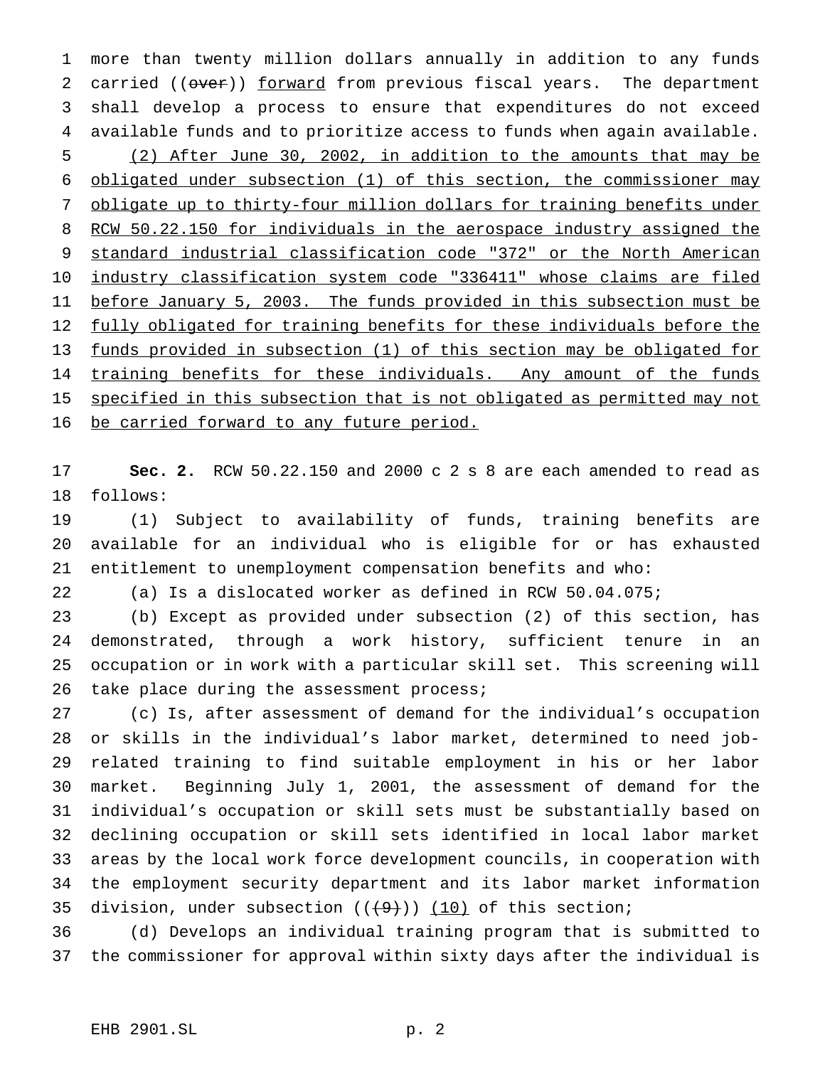more than twenty million dollars annually in addition to any funds 2 carried (( $over$ )) forward from previous fiscal years. The department shall develop a process to ensure that expenditures do not exceed available funds and to prioritize access to funds when again available. (2) After June 30, 2002, in addition to the amounts that may be obligated under subsection (1) of this section, the commissioner may obligate up to thirty-four million dollars for training benefits under RCW 50.22.150 for individuals in the aerospace industry assigned the standard industrial classification code "372" or the North American industry classification system code "336411" whose claims are filed before January 5, 2003. The funds provided in this subsection must be fully obligated for training benefits for these individuals before the funds provided in subsection (1) of this section may be obligated for 14 training benefits for these individuals. Any amount of the funds 15 specified in this subsection that is not obligated as permitted may not 16 be carried forward to any future period.

 **Sec. 2.** RCW 50.22.150 and 2000 c 2 s 8 are each amended to read as follows:

 (1) Subject to availability of funds, training benefits are available for an individual who is eligible for or has exhausted entitlement to unemployment compensation benefits and who:

(a) Is a dislocated worker as defined in RCW 50.04.075;

 (b) Except as provided under subsection (2) of this section, has demonstrated, through a work history, sufficient tenure in an occupation or in work with a particular skill set. This screening will 26 take place during the assessment process;

 (c) Is, after assessment of demand for the individual's occupation or skills in the individual's labor market, determined to need job- related training to find suitable employment in his or her labor market. Beginning July 1, 2001, the assessment of demand for the individual's occupation or skill sets must be substantially based on declining occupation or skill sets identified in local labor market areas by the local work force development councils, in cooperation with the employment security department and its labor market information 35 division, under subsection  $((+9))$   $(10)$  of this section;

 (d) Develops an individual training program that is submitted to the commissioner for approval within sixty days after the individual is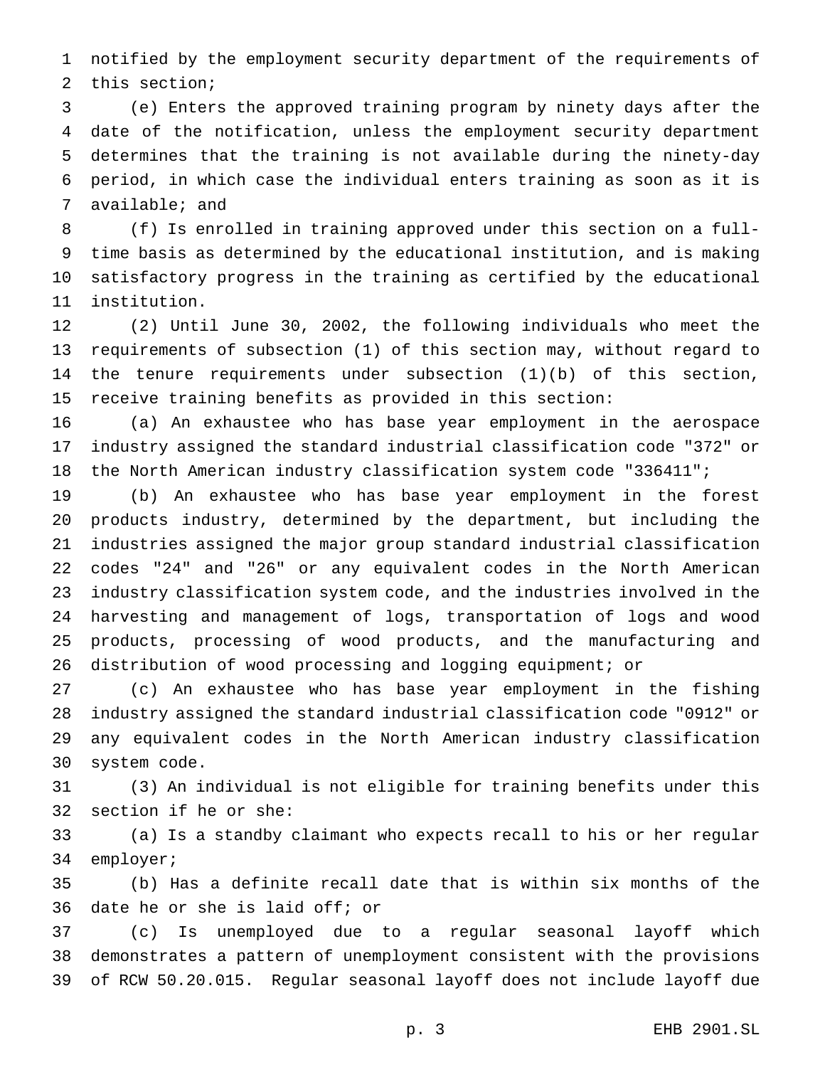notified by the employment security department of the requirements of this section;

 (e) Enters the approved training program by ninety days after the date of the notification, unless the employment security department determines that the training is not available during the ninety-day period, in which case the individual enters training as soon as it is available; and

 (f) Is enrolled in training approved under this section on a full- time basis as determined by the educational institution, and is making satisfactory progress in the training as certified by the educational institution.

 (2) Until June 30, 2002, the following individuals who meet the requirements of subsection (1) of this section may, without regard to the tenure requirements under subsection (1)(b) of this section, receive training benefits as provided in this section:

 (a) An exhaustee who has base year employment in the aerospace industry assigned the standard industrial classification code "372" or the North American industry classification system code "336411";

 (b) An exhaustee who has base year employment in the forest products industry, determined by the department, but including the industries assigned the major group standard industrial classification codes "24" and "26" or any equivalent codes in the North American industry classification system code, and the industries involved in the harvesting and management of logs, transportation of logs and wood products, processing of wood products, and the manufacturing and distribution of wood processing and logging equipment; or

 (c) An exhaustee who has base year employment in the fishing industry assigned the standard industrial classification code "0912" or any equivalent codes in the North American industry classification system code.

 (3) An individual is not eligible for training benefits under this section if he or she:

 (a) Is a standby claimant who expects recall to his or her regular employer;

 (b) Has a definite recall date that is within six months of the date he or she is laid off; or

 (c) Is unemployed due to a regular seasonal layoff which demonstrates a pattern of unemployment consistent with the provisions of RCW 50.20.015. Regular seasonal layoff does not include layoff due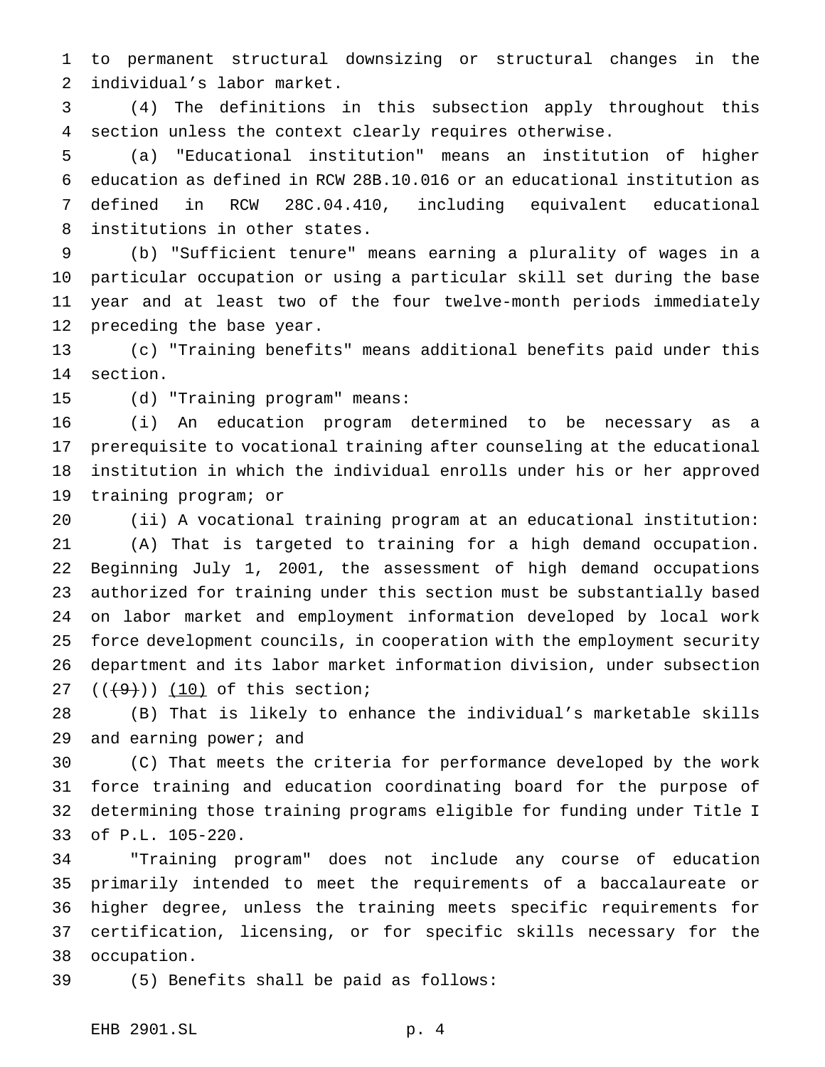to permanent structural downsizing or structural changes in the individual's labor market.

 (4) The definitions in this subsection apply throughout this section unless the context clearly requires otherwise.

 (a) "Educational institution" means an institution of higher education as defined in RCW 28B.10.016 or an educational institution as defined in RCW 28C.04.410, including equivalent educational institutions in other states.

 (b) "Sufficient tenure" means earning a plurality of wages in a particular occupation or using a particular skill set during the base year and at least two of the four twelve-month periods immediately preceding the base year.

 (c) "Training benefits" means additional benefits paid under this section.

(d) "Training program" means:

 (i) An education program determined to be necessary as a prerequisite to vocational training after counseling at the educational institution in which the individual enrolls under his or her approved training program; or

 (ii) A vocational training program at an educational institution: (A) That is targeted to training for a high demand occupation. Beginning July 1, 2001, the assessment of high demand occupations authorized for training under this section must be substantially based on labor market and employment information developed by local work force development councils, in cooperation with the employment security department and its labor market information division, under subsection  $((+9))$   $(10)$  of this section;

 (B) That is likely to enhance the individual's marketable skills 29 and earning power; and

 (C) That meets the criteria for performance developed by the work force training and education coordinating board for the purpose of determining those training programs eligible for funding under Title I of P.L. 105-220.

 "Training program" does not include any course of education primarily intended to meet the requirements of a baccalaureate or higher degree, unless the training meets specific requirements for certification, licensing, or for specific skills necessary for the occupation.

(5) Benefits shall be paid as follows: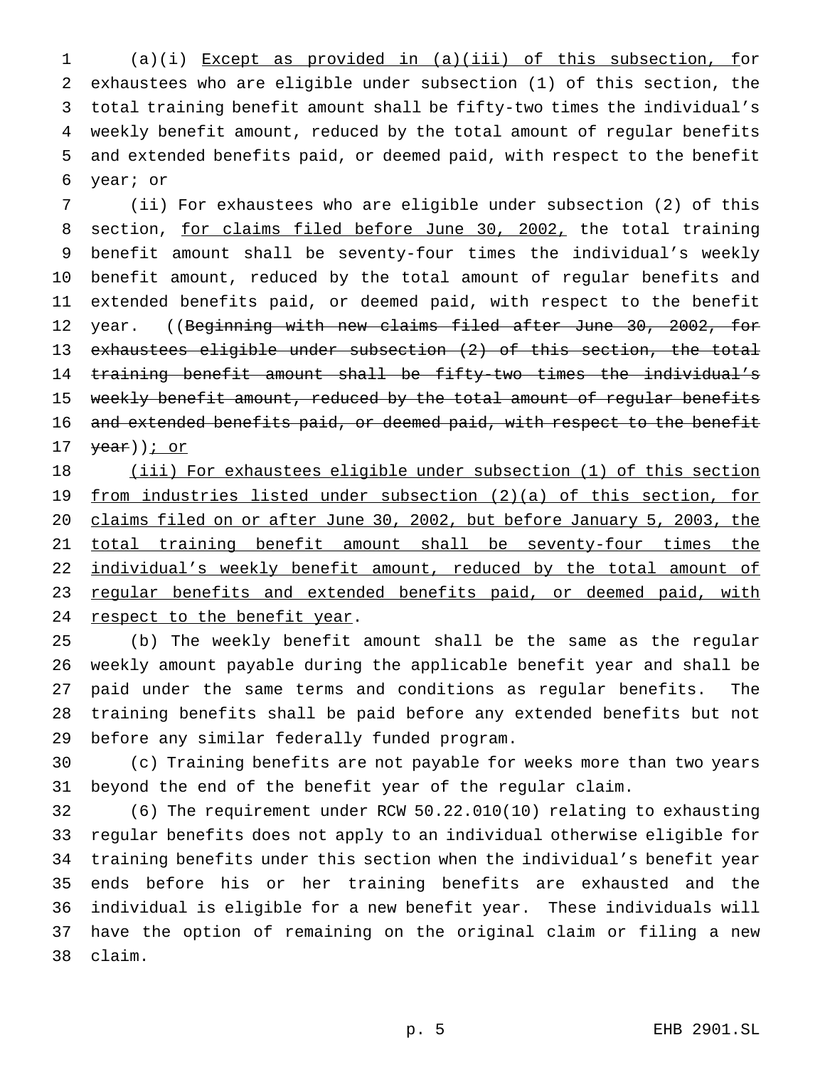(a)(i) Except as provided in (a)(iii) of this subsection, for exhaustees who are eligible under subsection (1) of this section, the total training benefit amount shall be fifty-two times the individual's weekly benefit amount, reduced by the total amount of regular benefits and extended benefits paid, or deemed paid, with respect to the benefit year; or

 (ii) For exhaustees who are eligible under subsection (2) of this 8 section, for claims filed before June 30, 2002, the total training benefit amount shall be seventy-four times the individual's weekly benefit amount, reduced by the total amount of regular benefits and extended benefits paid, or deemed paid, with respect to the benefit 12 year. ((Beginning with new claims filed after June 30, 2002, for exhaustees eligible under subsection (2) of this section, the total training benefit amount shall be fifty-two times the individual's 15 weekly benefit amount, reduced by the total amount of regular benefits 16 and extended benefits paid, or deemed paid, with respect to the benefit  $\frac{year}{}$ ) *j* or

18 (iii) For exhaustees eligible under subsection (1) of this section from industries listed under subsection (2)(a) of this section, for claims filed on or after June 30, 2002, but before January 5, 2003, the 21 total training benefit amount shall be seventy-four times the 22 individual's weekly benefit amount, reduced by the total amount of 23 regular benefits and extended benefits paid, or deemed paid, with 24 respect to the benefit year.

 (b) The weekly benefit amount shall be the same as the regular weekly amount payable during the applicable benefit year and shall be paid under the same terms and conditions as regular benefits. The training benefits shall be paid before any extended benefits but not before any similar federally funded program.

 (c) Training benefits are not payable for weeks more than two years beyond the end of the benefit year of the regular claim.

 (6) The requirement under RCW 50.22.010(10) relating to exhausting regular benefits does not apply to an individual otherwise eligible for training benefits under this section when the individual's benefit year ends before his or her training benefits are exhausted and the individual is eligible for a new benefit year. These individuals will have the option of remaining on the original claim or filing a new claim.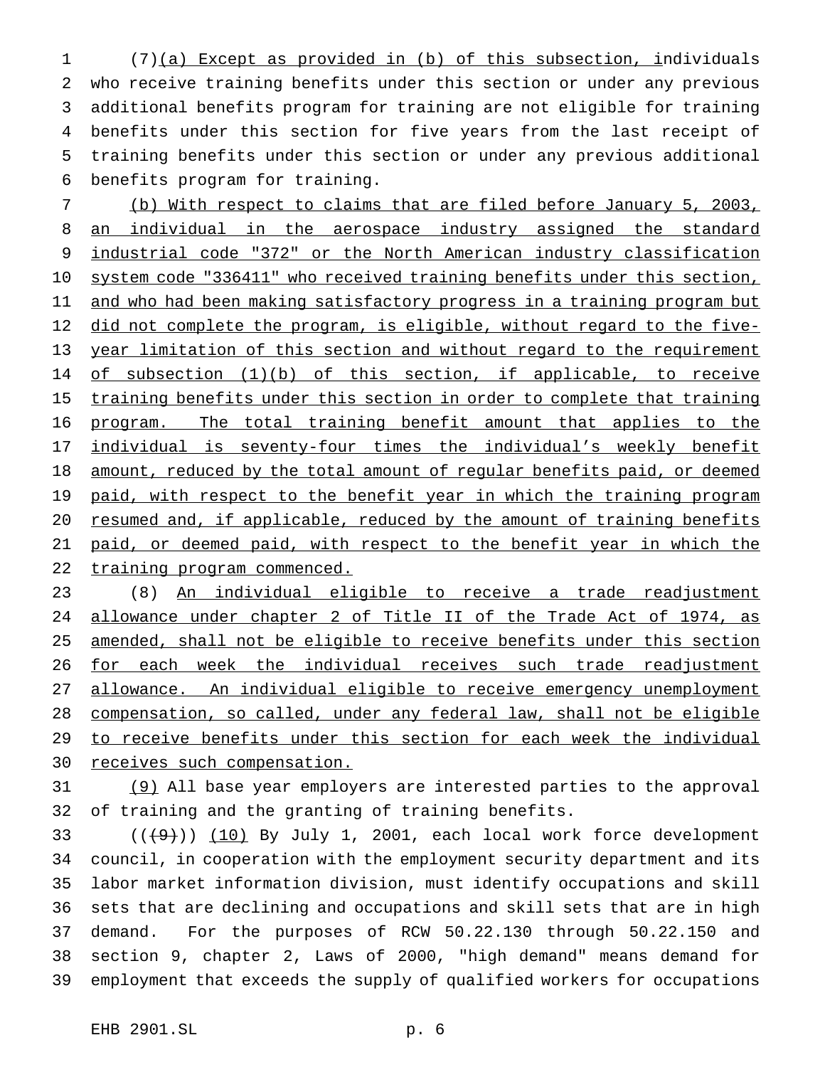(7)(a) Except as provided in (b) of this subsection, individuals who receive training benefits under this section or under any previous additional benefits program for training are not eligible for training benefits under this section for five years from the last receipt of training benefits under this section or under any previous additional benefits program for training.

 (b) With respect to claims that are filed before January 5, 2003, 8 an individual in the aerospace industry assigned the standard 9 industrial code "372" or the North American industry classification system code "336411" who received training benefits under this section, 11 and who had been making satisfactory progress in a training program but 12 did not complete the program, is eligible, without regard to the five- year limitation of this section and without regard to the requirement 14 of subsection (1)(b) of this section, if applicable, to receive 15 training benefits under this section in order to complete that training program. The total training benefit amount that applies to the 17 individual is seventy-four times the individual's weekly benefit amount, reduced by the total amount of regular benefits paid, or deemed 19 paid, with respect to the benefit year in which the training program resumed and, if applicable, reduced by the amount of training benefits paid, or deemed paid, with respect to the benefit year in which the 22 training program commenced.

 (8) An individual eligible to receive a trade readjustment allowance under chapter 2 of Title II of the Trade Act of 1974, as amended, shall not be eligible to receive benefits under this section 26 for each week the individual receives such trade readjustment allowance. An individual eligible to receive emergency unemployment compensation, so called, under any federal law, shall not be eligible to receive benefits under this section for each week the individual 30 receives such compensation.

 (9) All base year employers are interested parties to the approval of training and the granting of training benefits.

 $(1)(1)$  (( $(9)$ )) (10) By July 1, 2001, each local work force development council, in cooperation with the employment security department and its labor market information division, must identify occupations and skill sets that are declining and occupations and skill sets that are in high demand. For the purposes of RCW 50.22.130 through 50.22.150 and section 9, chapter 2, Laws of 2000, "high demand" means demand for employment that exceeds the supply of qualified workers for occupations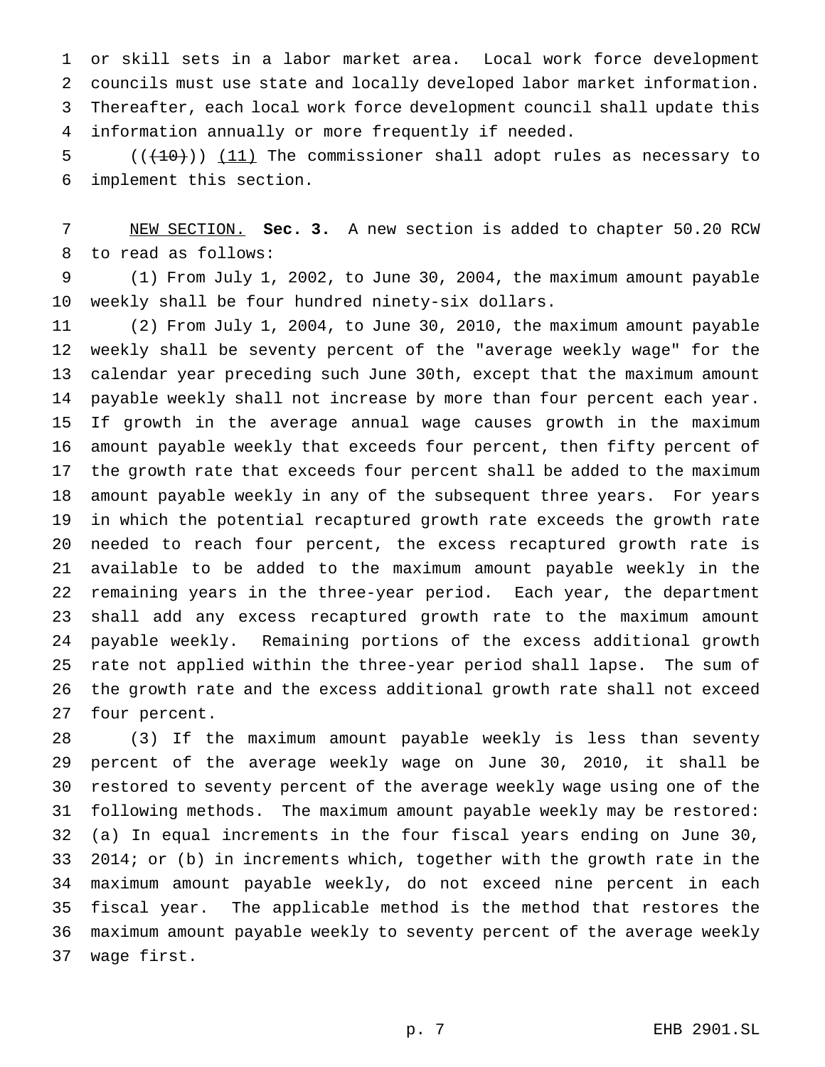or skill sets in a labor market area. Local work force development councils must use state and locally developed labor market information. Thereafter, each local work force development council shall update this information annually or more frequently if needed.

 ( $(\overline{+10})$ ) (11) The commissioner shall adopt rules as necessary to implement this section.

 NEW SECTION. **Sec. 3.** A new section is added to chapter 50.20 RCW to read as follows:

 (1) From July 1, 2002, to June 30, 2004, the maximum amount payable weekly shall be four hundred ninety-six dollars.

 (2) From July 1, 2004, to June 30, 2010, the maximum amount payable weekly shall be seventy percent of the "average weekly wage" for the calendar year preceding such June 30th, except that the maximum amount payable weekly shall not increase by more than four percent each year. If growth in the average annual wage causes growth in the maximum amount payable weekly that exceeds four percent, then fifty percent of the growth rate that exceeds four percent shall be added to the maximum amount payable weekly in any of the subsequent three years. For years in which the potential recaptured growth rate exceeds the growth rate needed to reach four percent, the excess recaptured growth rate is available to be added to the maximum amount payable weekly in the remaining years in the three-year period. Each year, the department shall add any excess recaptured growth rate to the maximum amount payable weekly. Remaining portions of the excess additional growth rate not applied within the three-year period shall lapse. The sum of the growth rate and the excess additional growth rate shall not exceed four percent.

 (3) If the maximum amount payable weekly is less than seventy percent of the average weekly wage on June 30, 2010, it shall be restored to seventy percent of the average weekly wage using one of the following methods. The maximum amount payable weekly may be restored: (a) In equal increments in the four fiscal years ending on June 30, 2014; or (b) in increments which, together with the growth rate in the maximum amount payable weekly, do not exceed nine percent in each fiscal year. The applicable method is the method that restores the maximum amount payable weekly to seventy percent of the average weekly wage first.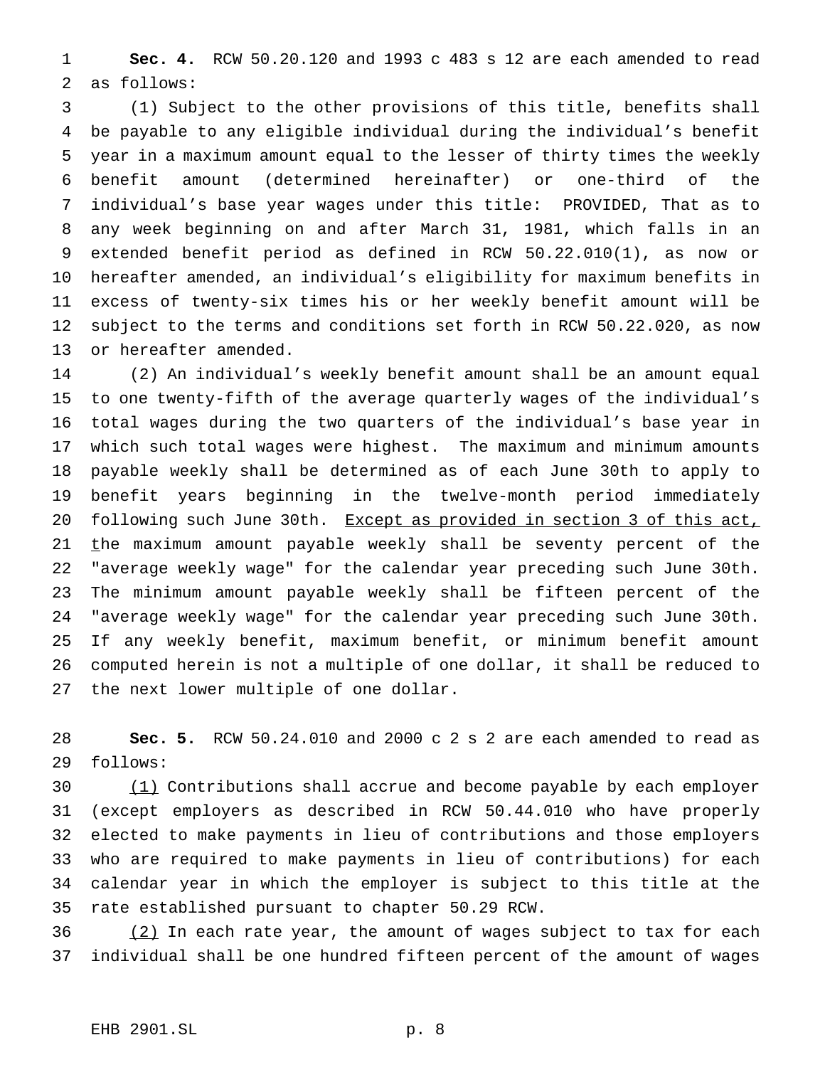**Sec. 4.** RCW 50.20.120 and 1993 c 483 s 12 are each amended to read as follows:

 (1) Subject to the other provisions of this title, benefits shall be payable to any eligible individual during the individual's benefit year in a maximum amount equal to the lesser of thirty times the weekly benefit amount (determined hereinafter) or one-third of the individual's base year wages under this title: PROVIDED, That as to any week beginning on and after March 31, 1981, which falls in an extended benefit period as defined in RCW 50.22.010(1), as now or hereafter amended, an individual's eligibility for maximum benefits in excess of twenty-six times his or her weekly benefit amount will be subject to the terms and conditions set forth in RCW 50.22.020, as now or hereafter amended.

 (2) An individual's weekly benefit amount shall be an amount equal to one twenty-fifth of the average quarterly wages of the individual's total wages during the two quarters of the individual's base year in which such total wages were highest. The maximum and minimum amounts payable weekly shall be determined as of each June 30th to apply to benefit years beginning in the twelve-month period immediately 20 following such June 30th. Except as provided in section 3 of this act, 21 the maximum amount payable weekly shall be seventy percent of the "average weekly wage" for the calendar year preceding such June 30th. The minimum amount payable weekly shall be fifteen percent of the "average weekly wage" for the calendar year preceding such June 30th. If any weekly benefit, maximum benefit, or minimum benefit amount computed herein is not a multiple of one dollar, it shall be reduced to the next lower multiple of one dollar.

 **Sec. 5.** RCW 50.24.010 and 2000 c 2 s 2 are each amended to read as follows:

30 (1) Contributions shall accrue and become payable by each employer (except employers as described in RCW 50.44.010 who have properly elected to make payments in lieu of contributions and those employers who are required to make payments in lieu of contributions) for each calendar year in which the employer is subject to this title at the rate established pursuant to chapter 50.29 RCW.

 $\frac{(2)}{2}$  In each rate year, the amount of wages subject to tax for each individual shall be one hundred fifteen percent of the amount of wages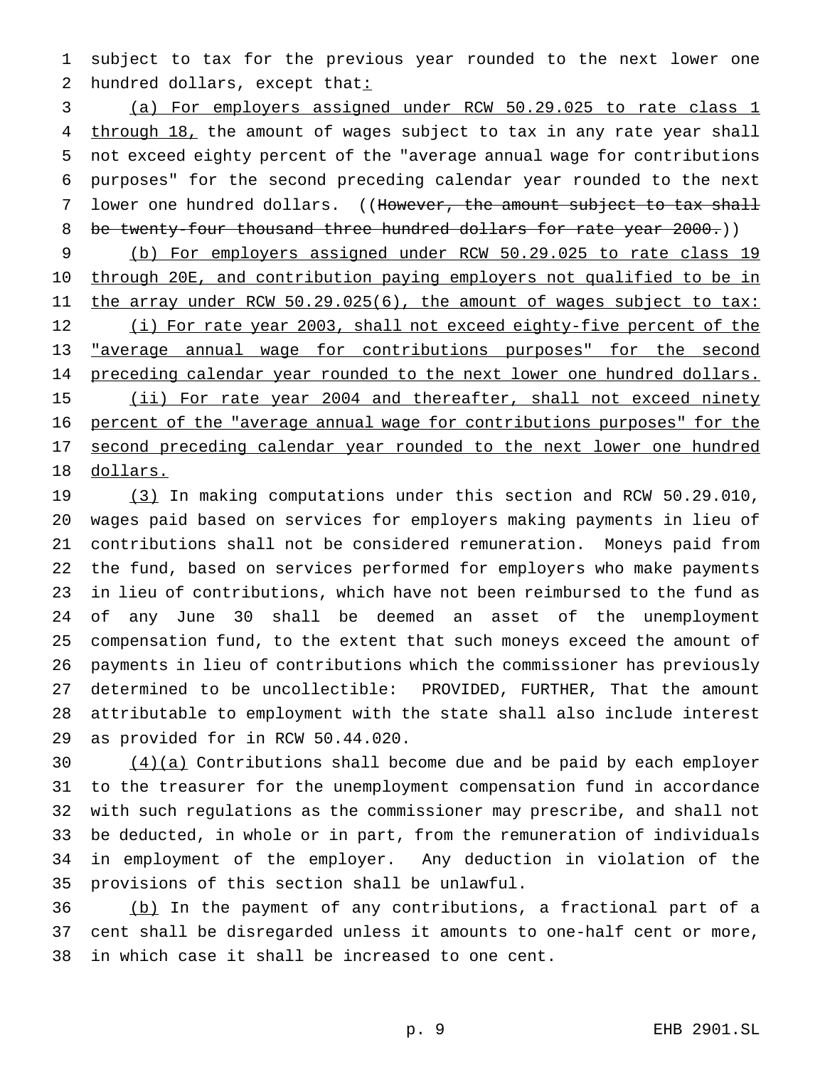subject to tax for the previous year rounded to the next lower one 2 hundred dollars, except that:

 (a) For employers assigned under RCW 50.29.025 to rate class 1 4 through 18, the amount of wages subject to tax in any rate year shall not exceed eighty percent of the "average annual wage for contributions purposes" for the second preceding calendar year rounded to the next 7 lower one hundred dollars. ((However, the amount subject to tax shall 8 be twenty-four thousand three hundred dollars for rate year 2000.))

 (b) For employers assigned under RCW 50.29.025 to rate class 19 through 20E, and contribution paying employers not qualified to be in 11 the array under RCW 50.29.025(6), the amount of wages subject to tax: 12 (i) For rate year 2003, shall not exceed eighty-five percent of the "average annual wage for contributions purposes" for the second 14 preceding calendar year rounded to the next lower one hundred dollars. 15 (ii) For rate year 2004 and thereafter, shall not exceed ninety percent of the "average annual wage for contributions purposes" for the 17 second preceding calendar year rounded to the next lower one hundred dollars.

19 (3) In making computations under this section and RCW 50.29.010, wages paid based on services for employers making payments in lieu of contributions shall not be considered remuneration. Moneys paid from the fund, based on services performed for employers who make payments in lieu of contributions, which have not been reimbursed to the fund as of any June 30 shall be deemed an asset of the unemployment compensation fund, to the extent that such moneys exceed the amount of payments in lieu of contributions which the commissioner has previously determined to be uncollectible: PROVIDED, FURTHER, That the amount attributable to employment with the state shall also include interest as provided for in RCW 50.44.020.

 (4)(a) Contributions shall become due and be paid by each employer to the treasurer for the unemployment compensation fund in accordance with such regulations as the commissioner may prescribe, and shall not be deducted, in whole or in part, from the remuneration of individuals in employment of the employer. Any deduction in violation of the provisions of this section shall be unlawful.

 (b) In the payment of any contributions, a fractional part of a cent shall be disregarded unless it amounts to one-half cent or more, in which case it shall be increased to one cent.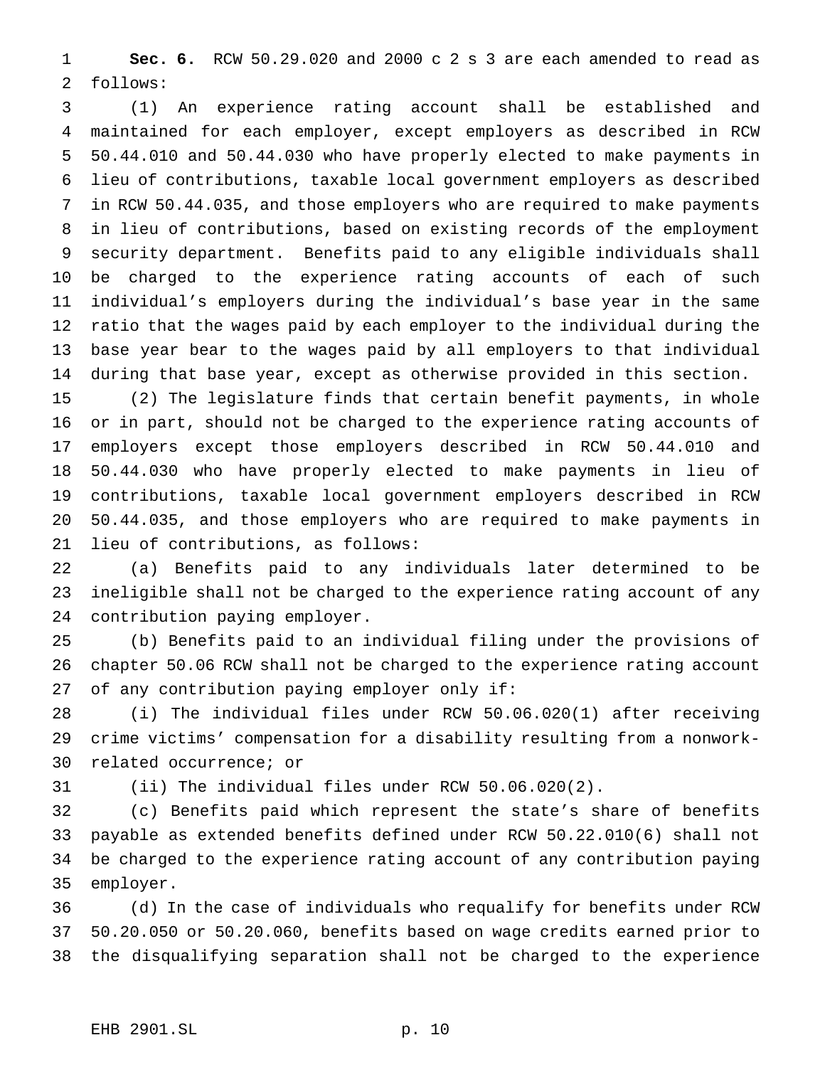**Sec. 6.** RCW 50.29.020 and 2000 c 2 s 3 are each amended to read as follows:

 (1) An experience rating account shall be established and maintained for each employer, except employers as described in RCW 50.44.010 and 50.44.030 who have properly elected to make payments in lieu of contributions, taxable local government employers as described in RCW 50.44.035, and those employers who are required to make payments in lieu of contributions, based on existing records of the employment security department. Benefits paid to any eligible individuals shall be charged to the experience rating accounts of each of such individual's employers during the individual's base year in the same ratio that the wages paid by each employer to the individual during the base year bear to the wages paid by all employers to that individual during that base year, except as otherwise provided in this section.

 (2) The legislature finds that certain benefit payments, in whole or in part, should not be charged to the experience rating accounts of employers except those employers described in RCW 50.44.010 and 50.44.030 who have properly elected to make payments in lieu of contributions, taxable local government employers described in RCW 50.44.035, and those employers who are required to make payments in lieu of contributions, as follows:

 (a) Benefits paid to any individuals later determined to be ineligible shall not be charged to the experience rating account of any contribution paying employer.

 (b) Benefits paid to an individual filing under the provisions of chapter 50.06 RCW shall not be charged to the experience rating account of any contribution paying employer only if:

 (i) The individual files under RCW 50.06.020(1) after receiving crime victims' compensation for a disability resulting from a nonwork-related occurrence; or

(ii) The individual files under RCW 50.06.020(2).

 (c) Benefits paid which represent the state's share of benefits payable as extended benefits defined under RCW 50.22.010(6) shall not be charged to the experience rating account of any contribution paying employer.

 (d) In the case of individuals who requalify for benefits under RCW 50.20.050 or 50.20.060, benefits based on wage credits earned prior to the disqualifying separation shall not be charged to the experience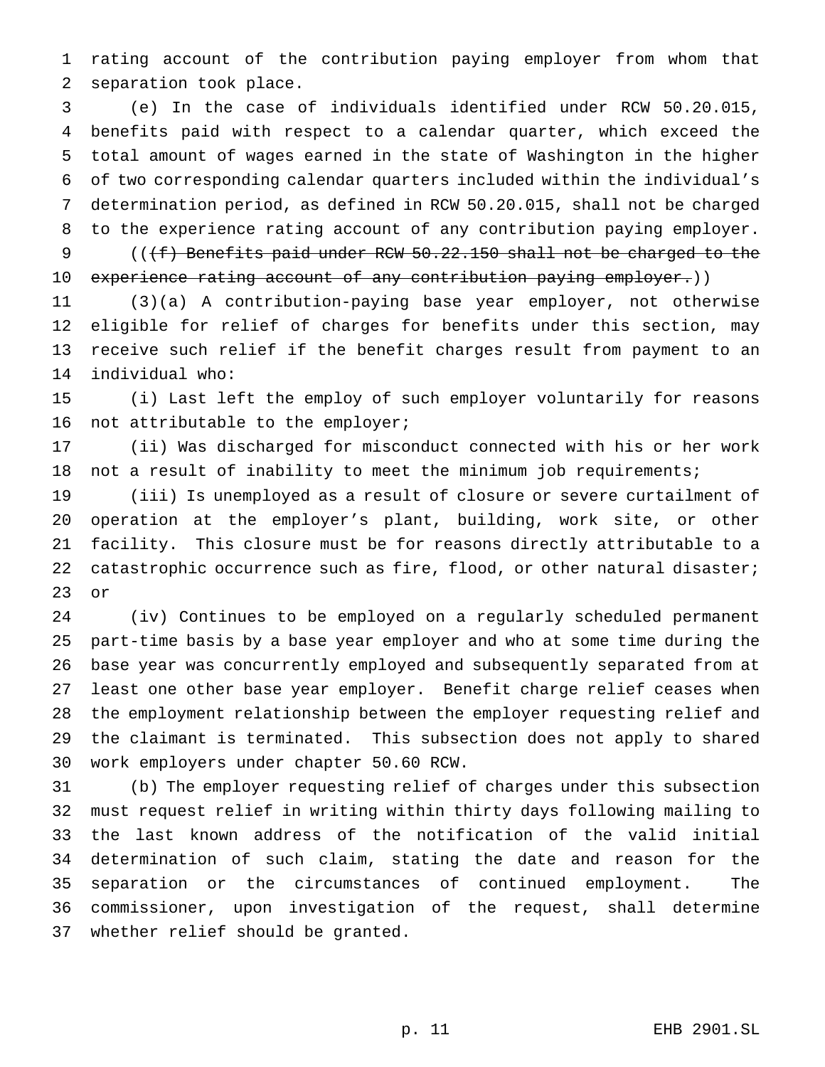rating account of the contribution paying employer from whom that separation took place.

 (e) In the case of individuals identified under RCW 50.20.015, benefits paid with respect to a calendar quarter, which exceed the total amount of wages earned in the state of Washington in the higher of two corresponding calendar quarters included within the individual's determination period, as defined in RCW 50.20.015, shall not be charged to the experience rating account of any contribution paying employer.

9 ((<del>(f)</del> Benefits paid under RCW 50.22.150 shall not be charged to the 10 experience rating account of any contribution paying employer.))

 (3)(a) A contribution-paying base year employer, not otherwise eligible for relief of charges for benefits under this section, may receive such relief if the benefit charges result from payment to an individual who:

 (i) Last left the employ of such employer voluntarily for reasons not attributable to the employer;

 (ii) Was discharged for misconduct connected with his or her work not a result of inability to meet the minimum job requirements;

 (iii) Is unemployed as a result of closure or severe curtailment of operation at the employer's plant, building, work site, or other facility. This closure must be for reasons directly attributable to a catastrophic occurrence such as fire, flood, or other natural disaster; or

 (iv) Continues to be employed on a regularly scheduled permanent part-time basis by a base year employer and who at some time during the base year was concurrently employed and subsequently separated from at least one other base year employer. Benefit charge relief ceases when the employment relationship between the employer requesting relief and the claimant is terminated. This subsection does not apply to shared work employers under chapter 50.60 RCW.

 (b) The employer requesting relief of charges under this subsection must request relief in writing within thirty days following mailing to the last known address of the notification of the valid initial determination of such claim, stating the date and reason for the separation or the circumstances of continued employment. The commissioner, upon investigation of the request, shall determine whether relief should be granted.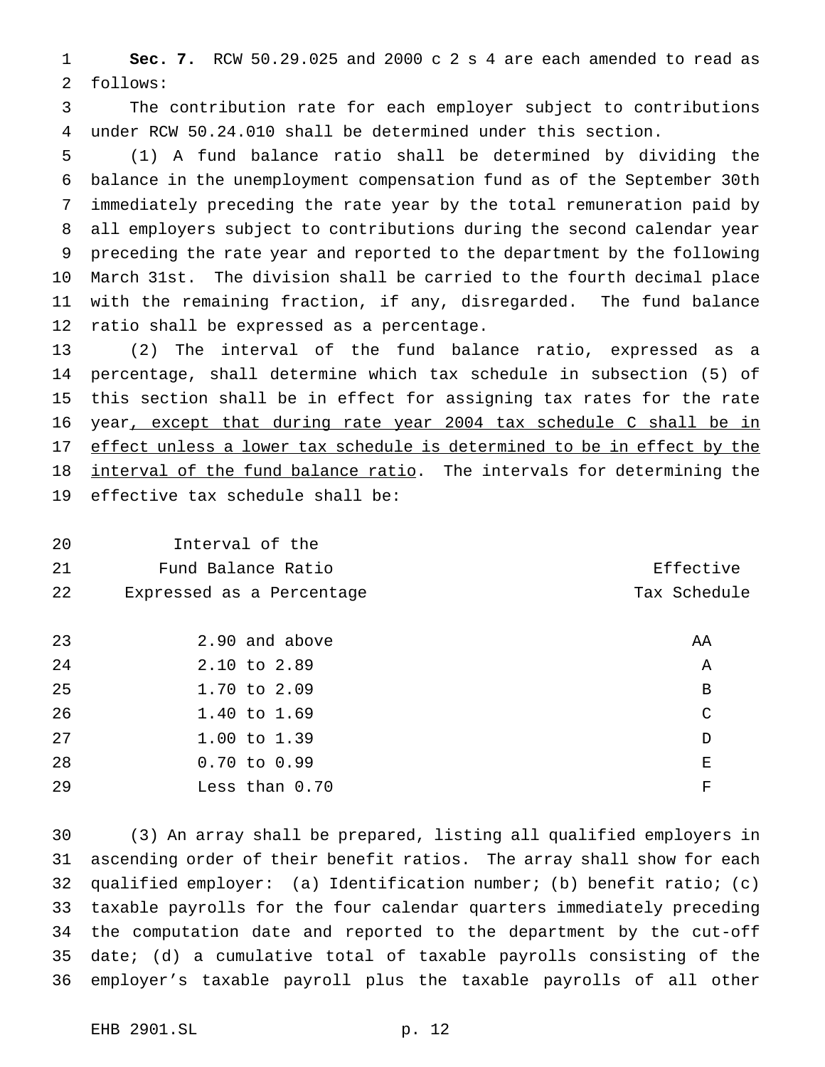**Sec. 7.** RCW 50.29.025 and 2000 c 2 s 4 are each amended to read as follows:

 The contribution rate for each employer subject to contributions under RCW 50.24.010 shall be determined under this section.

 (1) A fund balance ratio shall be determined by dividing the balance in the unemployment compensation fund as of the September 30th immediately preceding the rate year by the total remuneration paid by all employers subject to contributions during the second calendar year preceding the rate year and reported to the department by the following March 31st. The division shall be carried to the fourth decimal place with the remaining fraction, if any, disregarded. The fund balance ratio shall be expressed as a percentage.

 (2) The interval of the fund balance ratio, expressed as a percentage, shall determine which tax schedule in subsection (5) of this section shall be in effect for assigning tax rates for the rate 16 year, except that during rate year 2004 tax schedule C shall be in 17 effect unless a lower tax schedule is determined to be in effect by the 18 interval of the fund balance ratio. The intervals for determining the effective tax schedule shall be:

Interval of the

21 Fund Balance Ratio **Entitle Expanditure Effective** 22 Expressed as a Percentage Tax Schedule

| 23 | 2.90 and above   | AA |
|----|------------------|----|
| 24 | 2.10 to 2.89     | Α  |
| 25 | 1.70 to 2.09     | B  |
| 26 | $1.40$ to $1.69$ | C  |
| 27 | $1.00$ to $1.39$ | D  |
| 28 | $0.70$ to $0.99$ | E  |
| 29 | Less than 0.70   | F  |

 (3) An array shall be prepared, listing all qualified employers in ascending order of their benefit ratios. The array shall show for each qualified employer: (a) Identification number; (b) benefit ratio; (c) taxable payrolls for the four calendar quarters immediately preceding the computation date and reported to the department by the cut-off date; (d) a cumulative total of taxable payrolls consisting of the employer's taxable payroll plus the taxable payrolls of all other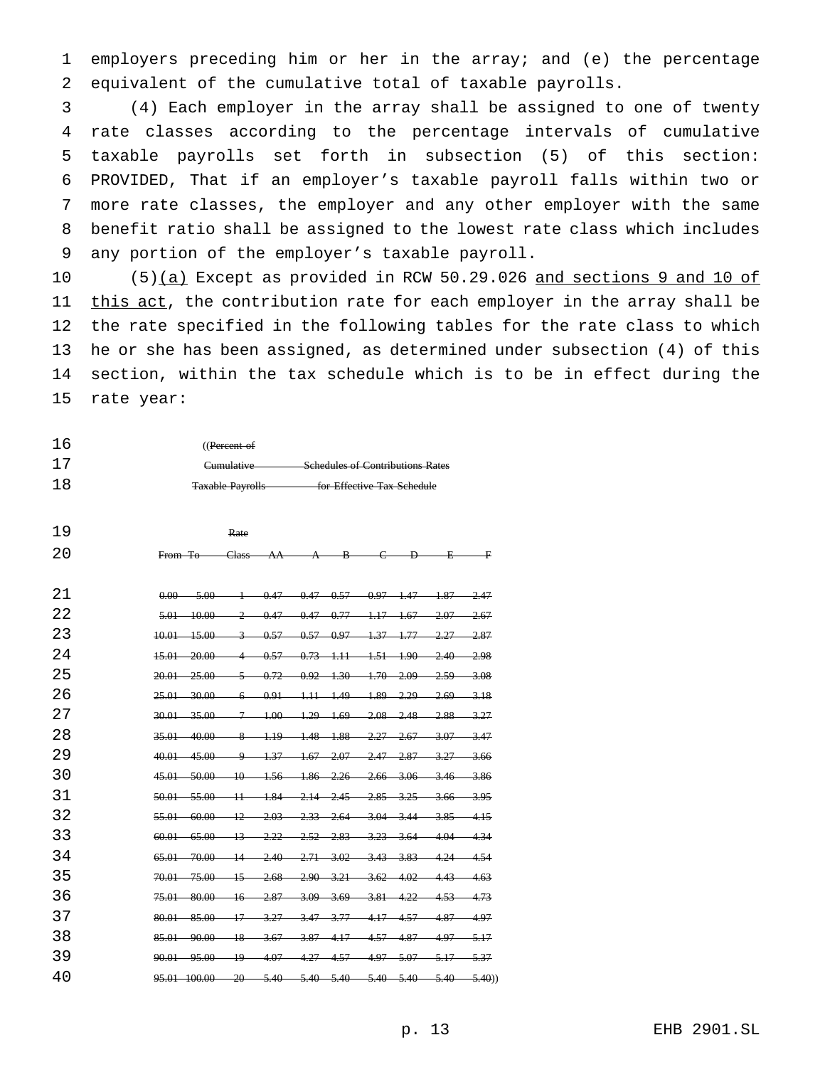employers preceding him or her in the array; and (e) the percentage equivalent of the cumulative total of taxable payrolls.

 (4) Each employer in the array shall be assigned to one of twenty rate classes according to the percentage intervals of cumulative taxable payrolls set forth in subsection (5) of this section: PROVIDED, That if an employer's taxable payroll falls within two or more rate classes, the employer and any other employer with the same benefit ratio shall be assigned to the lowest rate class which includes any portion of the employer's taxable payroll.

10 (5)(a) Except as provided in RCW 50.29.026 and sections 9 and 10 of 11 this act, the contribution rate for each employer in the array shall be the rate specified in the following tables for the rate class to which he or she has been assigned, as determined under subsection (4) of this section, within the tax schedule which is to be in effect during the rate year:

| 16   | (( <del>Percent of</del> |                                         |
|------|--------------------------|-----------------------------------------|
| -1.7 | Cumulative               | <b>Schedules of Contributions Rates</b> |
| 18   | <b>Taxable Payrolls</b>  | for Effective Tax Schedule              |

| 19  |                                                                               | Rate                     |                                  |                                           |                 |                                                                                                     |         |
|-----|-------------------------------------------------------------------------------|--------------------------|----------------------------------|-------------------------------------------|-----------------|-----------------------------------------------------------------------------------------------------|---------|
| 20  | From To                                                                       | Class-                   | AA                               | $A \t B \t C$                             | $\overline{P}$  | 玉                                                                                                   | —— 平    |
| 21  | $0.00 -$<br>$-5.00$                                                           | ∔                        |                                  | $0.47$ $0.47$ $0.57$ $0.97$ $1.47$ $1.87$ |                 |                                                                                                     | -2.47   |
| 2.2 | $5.01 - 10.00$                                                                | $\mathcal{P}$            |                                  |                                           |                 | $0.47$ $0.47$ $0.77$ $1.17$ $1.67$ $2.07$ $2.67$                                                    |         |
| 23  | $10.01 - 15.00$                                                               | $\overline{\mathcal{L}}$ |                                  | $0.57$ $0.57$ $0.97$ $1.37$ $1.77$ $2.27$ |                 |                                                                                                     | -2.87   |
| 2.4 | 15.01<br>-20.00                                                               |                          | 0.57                             | $0.73$ 1.11 1.51 1.90                     |                 | $-2.40$                                                                                             | -2.98   |
| 25  | $20.01 - 25.00$                                                               |                          |                                  |                                           |                 | $\frac{5}{5}$ 0.72 0.92 1.30 1.70 2.09 2.59 3.08                                                    |         |
| 26  | $25.01 - 30.00$                                                               | 6                        |                                  |                                           |                 | $0.91$ 1.11 1.49 1.89 2.29 2.69 3.18                                                                |         |
| 2.7 | 30.01<br>-35.00-                                                              | 구                        |                                  | $1.00 \t 1.29 \t 1.69 \t 2.08 \t 2.48$    |                 | $-2.88$                                                                                             | 327     |
| 28  | 35.01<br>40.00                                                                | 8                        |                                  |                                           |                 | $1.19$ $1.48$ $1.88$ $2.27$ $2.67$ $3.07$ $3.47$                                                    |         |
| 29  | 40.01<br>$-45.00$                                                             | م                        | $+37-$                           | $-1.67 - 2.07$                            | $-2.47 - 2.87$  | $-3.27$                                                                                             | 3.66    |
| 30  | 45.01<br>$-50.00$                                                             |                          | 10 1.56 1.86 2.26 2.66 3.06 3.46 |                                           |                 |                                                                                                     | $-3.86$ |
| 31  | 50.01 55.00 11 1.84 2.14 2.45 2.85 3.25 3.66 3.95                             |                          |                                  |                                           |                 |                                                                                                     |         |
| 32  | $-60.00-$<br>55.01                                                            | $-12-$                   | $-2.03-$                         | $2.33$ $2.64$                             | $-3.04$ $-3.44$ |                                                                                                     | $-415$  |
| 33  |                                                                               |                          |                                  |                                           |                 | -3.85                                                                                               |         |
|     | $60.01 - 65.00 - 13$                                                          |                          | $-2.22$                          | $2.52$ $2.83$                             |                 | 3.23 3.64 4.04 4.34                                                                                 |         |
| 34  | 65.01 70.00                                                                   | $\frac{14}{ }$           | $-2.40-$                         | $2.71$ $3.02$ $3.43$ $3.83$ $4.24$        |                 |                                                                                                     | $-4.54$ |
| 35  | 70.01 75.00 15                                                                |                          | $-2.68$                          | 2.90 3.21 3.62 4.02 4.43                  |                 |                                                                                                     | $-4.63$ |
| 36  | $-80.00-$<br>$75.01 -$                                                        | $-16-$                   | $-2.87-$                         |                                           |                 | $\frac{3.09}{2.69}$ $\frac{3.81}{2.81}$ $\frac{4.22}{2.81}$ $\frac{4.53}{2.81}$ $\frac{4.73}{2.81}$ |         |
| 37  | $80.01 - 85.00$                                                               | $+7$                     | $-3.27$                          | $-3.47$ $-3.77$ $-4.17$ $-4.57$           |                 | $-4.87$                                                                                             | -4.97   |
| 38  | $85.01 - 90.00$                                                               | $-18-$                   | $-3.67-$                         |                                           |                 | $\frac{3.87}{1.17}$ $\frac{4.57}{1.57}$ $\frac{4.87}{1.97}$ $\frac{5.17}{1.57}$                     |         |
| 39  | 90.01 95.00 19 4.07 4.27 4.57 4.97 5.07 5.17 5.37                             |                          |                                  |                                           |                 |                                                                                                     |         |
| 40  | $95.01$ $100.00$ $20$ $5.40$ $5.40$ $5.40$ $5.40$ $5.40$ $5.40$ $5.40$ $5.40$ |                          |                                  |                                           |                 |                                                                                                     |         |
|     |                                                                               |                          |                                  |                                           |                 |                                                                                                     |         |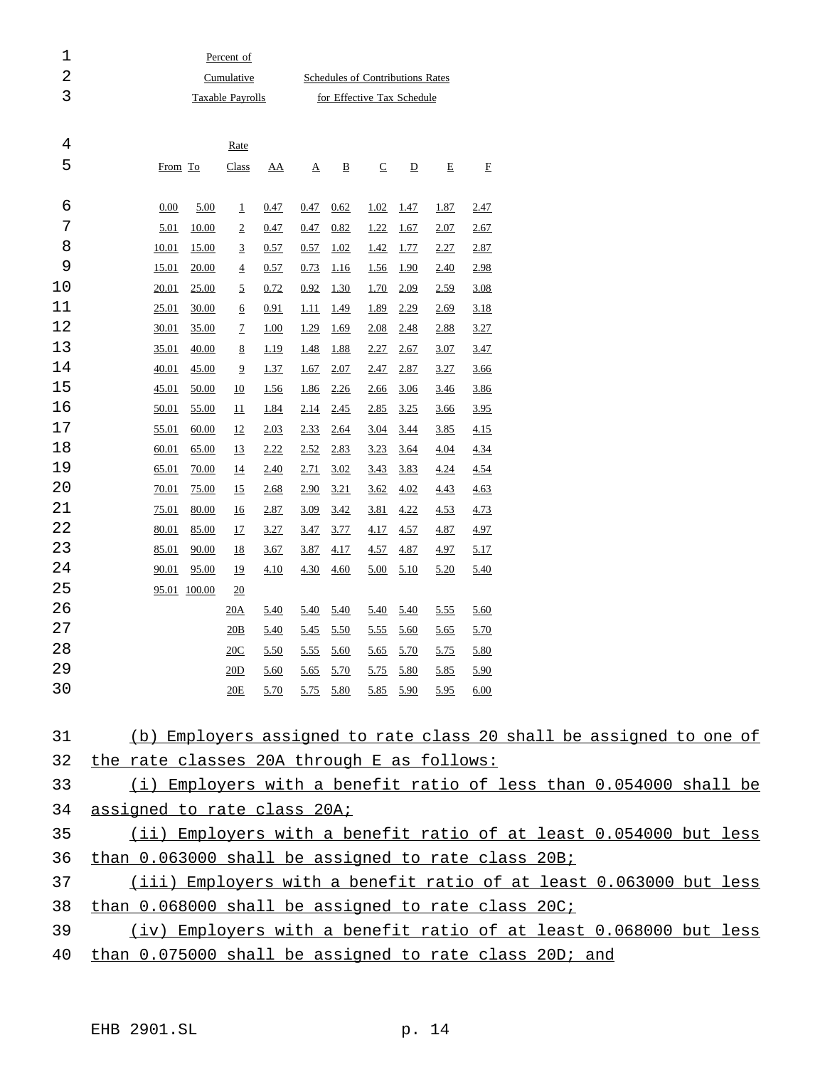| 1  |                                                                     |              | Percent of                       |             |             |                          |                          |                          |             |             |  |  |  |  |  |
|----|---------------------------------------------------------------------|--------------|----------------------------------|-------------|-------------|--------------------------|--------------------------|--------------------------|-------------|-------------|--|--|--|--|--|
| 2  |                                                                     |              | Schedules of Contributions Rates |             |             |                          |                          |                          |             |             |  |  |  |  |  |
| 3  |                                                                     |              | for Effective Tax Schedule       |             |             |                          |                          |                          |             |             |  |  |  |  |  |
|    |                                                                     |              |                                  |             |             |                          |                          |                          |             |             |  |  |  |  |  |
| 4  |                                                                     |              | Rate                             |             |             |                          |                          |                          |             |             |  |  |  |  |  |
| 5  | From To                                                             |              | <b>Class</b>                     | <u>AA</u>   | Δ           | $\underline{\mathtt{B}}$ | $\underline{\mathbb{C}}$ | $\underline{\mathbf{D}}$ | $\mathbf E$ | E           |  |  |  |  |  |
|    |                                                                     |              |                                  |             |             |                          |                          |                          |             |             |  |  |  |  |  |
| 6  | 0.00                                                                | 5.00         | $\overline{1}$                   | 0.47        | 0.47        | 0.62                     | 1.02                     | <u>1.47</u>              | <u>1.87</u> | 2.47        |  |  |  |  |  |
| 7  | 5.01                                                                | <u>10.00</u> | $\overline{2}$                   | 0.47        | 0.47        | 0.82                     | 1.22                     | <u>1.67</u>              | 2.07        | 2.67        |  |  |  |  |  |
| 8  | 10.01                                                               | <u>15.00</u> | 3                                | 0.57        | 0.57        | 1.02                     | 1.42                     | <u>1.77</u>              | 2.27        | 2.87        |  |  |  |  |  |
| 9  | 15.01                                                               | 20.00        | $\overline{4}$                   | 0.57        | 0.73        | <u>1.16</u>              | <u>1.56</u>              | <u>1.90</u>              | <u>2.40</u> | 2.98        |  |  |  |  |  |
| 10 | 20.01                                                               | 25.00        | 2                                | 0.72        | 0.92        | 1.30                     | <u>1.70</u>              | 2.09                     | 2.59        | 3.08        |  |  |  |  |  |
| 11 | 25.01                                                               | <u>30.00</u> | <u>6</u>                         | 0.91        | <u>1.11</u> | <u>1.49</u>              | 1.89                     | 2.29                     | 2.69        | 3.18        |  |  |  |  |  |
| 12 | 30.01                                                               | 35.00        | 7                                | <u>1.00</u> | 1.29        | 1.69                     | 2.08                     | 2.48                     | 2.88        | 3.27        |  |  |  |  |  |
| 13 | 35.01                                                               | 40.00        | <u>8</u>                         | <u>1.19</u> | 1.48        | 1.88                     | 2.27                     | 2.67                     | <u>3.07</u> | 3.47        |  |  |  |  |  |
| 14 | 40.01                                                               | 45.00        | 2                                | 1.37        | 1.67        | 2.07                     | 2.47                     | 2.87                     | <u>3.27</u> | 3.66        |  |  |  |  |  |
| 15 | 45.01                                                               | 50.00        | 10                               | <u>1.56</u> | <u>1.86</u> | 2.26                     | 2.66                     | 3.06                     | <u>3.46</u> | 3.86        |  |  |  |  |  |
| 16 | 50.01                                                               | 55.00        | $\mathbf{\underline{11}}$        | 1.84        | 2.14        | 2.45                     | 2.85                     | 3.25                     | <u>3.66</u> | 3.95        |  |  |  |  |  |
| 17 | 55.01                                                               | 60.00        | 12                               | 2.03        | 2.33        | 2.64                     | 3.04                     | 3.44                     | 3.85        | 4.15        |  |  |  |  |  |
| 18 | 60.01                                                               | 65.00        | 13                               | 2.22        | 2.52        | 2.83                     | 3.23                     | 3.64                     | <u>4.04</u> | 4.34        |  |  |  |  |  |
| 19 | 65.01                                                               | <u>70.00</u> | <u>14</u>                        | 2.40        | 2.71        | 3.02                     | 3.43                     | 3.83                     | <u>4.24</u> | 4.54        |  |  |  |  |  |
| 20 | 70.01                                                               | 75.00        | 15                               | 2.68        | 2.90        | 3.21                     | 3.62                     | 4.02                     | 4.43        | 4.63        |  |  |  |  |  |
| 21 | 75.01                                                               | 80.00        | <u>16</u>                        | 2.87        | 3.09        | 3.42                     | 3.81                     | 4.22                     | 4.53        | 4.73        |  |  |  |  |  |
| 22 | 80.01                                                               | 85.00        | 17                               | 3.27        | 3.47        | 3.77                     | 4.17                     | 4.57                     | 4.87        | 4.97        |  |  |  |  |  |
| 23 | 85.01                                                               | 90.00        | 18                               | 3.67        | <u>3.87</u> | 4.17                     | 4.57                     | 4.87                     | 4.97        | 5.17        |  |  |  |  |  |
| 24 | 90.01                                                               | 95.00        | <u>19</u>                        | 4.10        | 4.30        | 4.60                     | 5.00                     | 5.10                     | 5.20        | <u>5.40</u> |  |  |  |  |  |
| 25 |                                                                     | 95.01 100.00 | $\overline{20}$                  |             |             |                          |                          |                          |             |             |  |  |  |  |  |
| 26 |                                                                     |              | 20A                              | 5.40        | 5.40        | 5.40                     | 5.40                     | 5.40                     | <u>5.55</u> | 5.60        |  |  |  |  |  |
| 27 |                                                                     |              | 20B                              | 5.40        | 5.45        | 5.50                     | 5.55                     | 5.60                     | 5.65        | 5.70        |  |  |  |  |  |
| 28 |                                                                     |              | 20C                              | 5.50        | 5.55        | 5.60                     |                          | $5.65$ $5.70$            | 5.75        | 5.80        |  |  |  |  |  |
| 29 |                                                                     |              | 20D                              | 5.60        |             | $5.65$ $5.70$            |                          | 5.75 5.80                | 5.85        | 5.90        |  |  |  |  |  |
| 30 |                                                                     |              | <u>20E</u>                       | 5.70        |             | 5.75 5.80                |                          | 5.85 5.90                | 5.95        | 6.00        |  |  |  |  |  |
|    |                                                                     |              |                                  |             |             |                          |                          |                          |             |             |  |  |  |  |  |
| 31 | (b) Employers assigned to rate class 20 shall be assigned to one of |              |                                  |             |             |                          |                          |                          |             |             |  |  |  |  |  |
| 32 | the rate classes 20A through E as follows:                          |              |                                  |             |             |                          |                          |                          |             |             |  |  |  |  |  |
| 33 | (i) Employers with a benefit ratio of less than 0.054000 shall be   |              |                                  |             |             |                          |                          |                          |             |             |  |  |  |  |  |
| 34 | assigned to rate class 20A;                                         |              |                                  |             |             |                          |                          |                          |             |             |  |  |  |  |  |
| 35 | (ii) Employers with a benefit ratio of at least 0.054000 but less   |              |                                  |             |             |                          |                          |                          |             |             |  |  |  |  |  |
| 36 | than 0.063000 shall be assigned to rate class 20B;                  |              |                                  |             |             |                          |                          |                          |             |             |  |  |  |  |  |
| 37 | (iii) Employers with a benefit ratio of at least 0.063000 but less  |              |                                  |             |             |                          |                          |                          |             |             |  |  |  |  |  |
| 38 |                                                                     |              |                                  |             |             |                          |                          |                          |             |             |  |  |  |  |  |
|    | than 0.068000 shall be assigned to rate class 20C;                  |              |                                  |             |             |                          |                          |                          |             |             |  |  |  |  |  |

 (iv) Employers with a benefit ratio of at least 0.068000 but less than 0.075000 shall be assigned to rate class 20D; and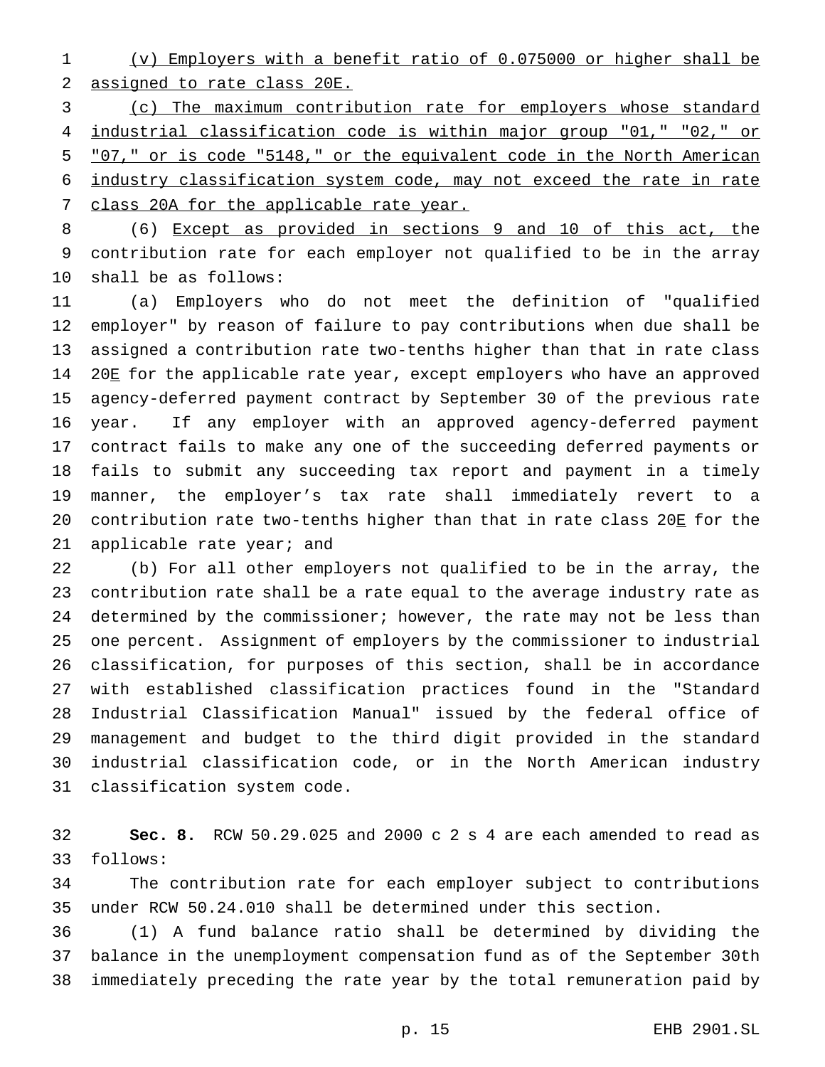(v) Employers with a benefit ratio of 0.075000 or higher shall be assigned to rate class 20E.

 (c) The maximum contribution rate for employers whose standard industrial classification code is within major group "01," "02," or "07," or is code "5148," or the equivalent code in the North American industry classification system code, may not exceed the rate in rate 7 class 20A for the applicable rate year.

 (6) Except as provided in sections 9 and 10 of this act, the contribution rate for each employer not qualified to be in the array shall be as follows:

 (a) Employers who do not meet the definition of "qualified employer" by reason of failure to pay contributions when due shall be assigned a contribution rate two-tenths higher than that in rate class 14 20E for the applicable rate year, except employers who have an approved agency-deferred payment contract by September 30 of the previous rate year. If any employer with an approved agency-deferred payment contract fails to make any one of the succeeding deferred payments or fails to submit any succeeding tax report and payment in a timely manner, the employer's tax rate shall immediately revert to a contribution rate two-tenths higher than that in rate class 20E for the applicable rate year; and

 (b) For all other employers not qualified to be in the array, the contribution rate shall be a rate equal to the average industry rate as 24 determined by the commissioner; however, the rate may not be less than one percent. Assignment of employers by the commissioner to industrial classification, for purposes of this section, shall be in accordance with established classification practices found in the "Standard Industrial Classification Manual" issued by the federal office of management and budget to the third digit provided in the standard industrial classification code, or in the North American industry classification system code.

 **Sec. 8.** RCW 50.29.025 and 2000 c 2 s 4 are each amended to read as follows:

 The contribution rate for each employer subject to contributions under RCW 50.24.010 shall be determined under this section.

 (1) A fund balance ratio shall be determined by dividing the balance in the unemployment compensation fund as of the September 30th immediately preceding the rate year by the total remuneration paid by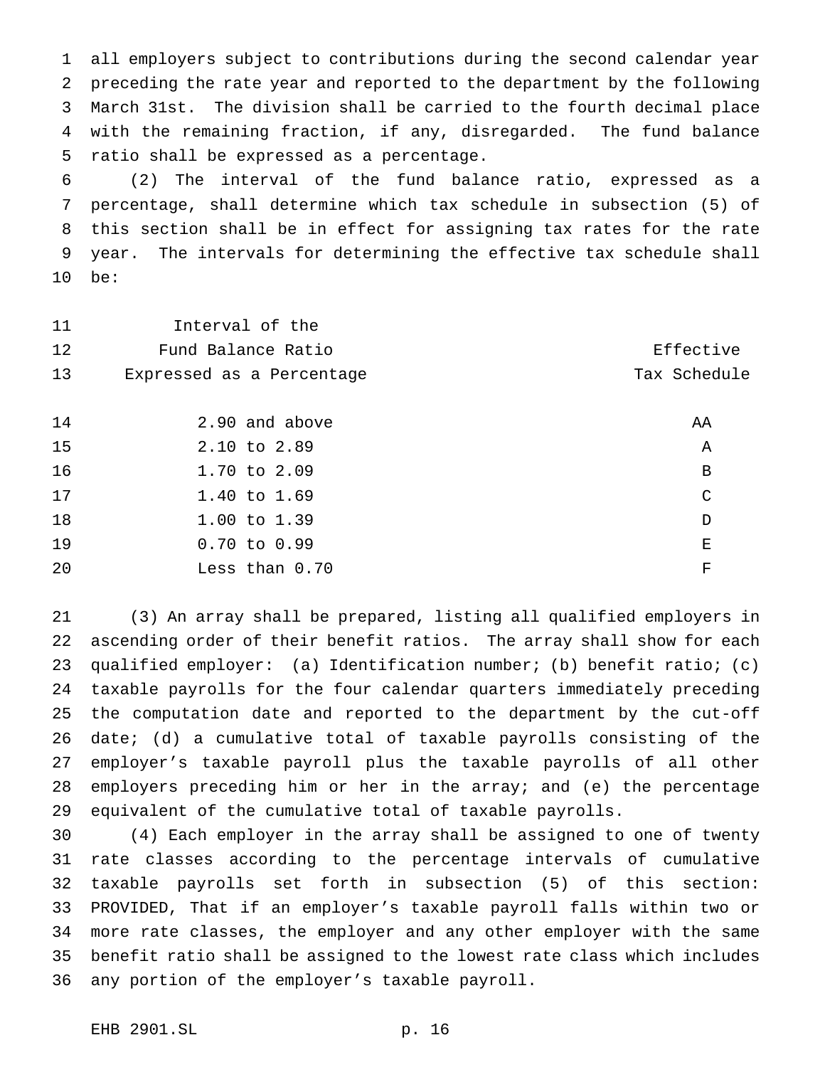all employers subject to contributions during the second calendar year preceding the rate year and reported to the department by the following March 31st. The division shall be carried to the fourth decimal place with the remaining fraction, if any, disregarded. The fund balance ratio shall be expressed as a percentage.

 (2) The interval of the fund balance ratio, expressed as a percentage, shall determine which tax schedule in subsection (5) of this section shall be in effect for assigning tax rates for the rate year. The intervals for determining the effective tax schedule shall be:

| 11 | Interval of the           |              |
|----|---------------------------|--------------|
| 12 | Fund Balance Ratio        | Effective    |
| 13 | Expressed as a Percentage | Tax Schedule |
|    |                           |              |
| 14 | 2.90 and above            | ΑA           |
| 15 | 2.10 to 2.89              | Α            |
| 16 | 1.70 to 2.09              | $\, {\bf B}$ |
| 17 | 1.40 to 1.69              | $\mathsf{C}$ |
| 18 | 1.00 to 1.39              | D            |
| 19 | $0.70$ to $0.99$          | Е            |
| 20 | Less than 0.70            | F            |

 (3) An array shall be prepared, listing all qualified employers in ascending order of their benefit ratios. The array shall show for each qualified employer: (a) Identification number; (b) benefit ratio; (c) taxable payrolls for the four calendar quarters immediately preceding the computation date and reported to the department by the cut-off date; (d) a cumulative total of taxable payrolls consisting of the employer's taxable payroll plus the taxable payrolls of all other employers preceding him or her in the array; and (e) the percentage equivalent of the cumulative total of taxable payrolls.

 (4) Each employer in the array shall be assigned to one of twenty rate classes according to the percentage intervals of cumulative taxable payrolls set forth in subsection (5) of this section: PROVIDED, That if an employer's taxable payroll falls within two or more rate classes, the employer and any other employer with the same benefit ratio shall be assigned to the lowest rate class which includes any portion of the employer's taxable payroll.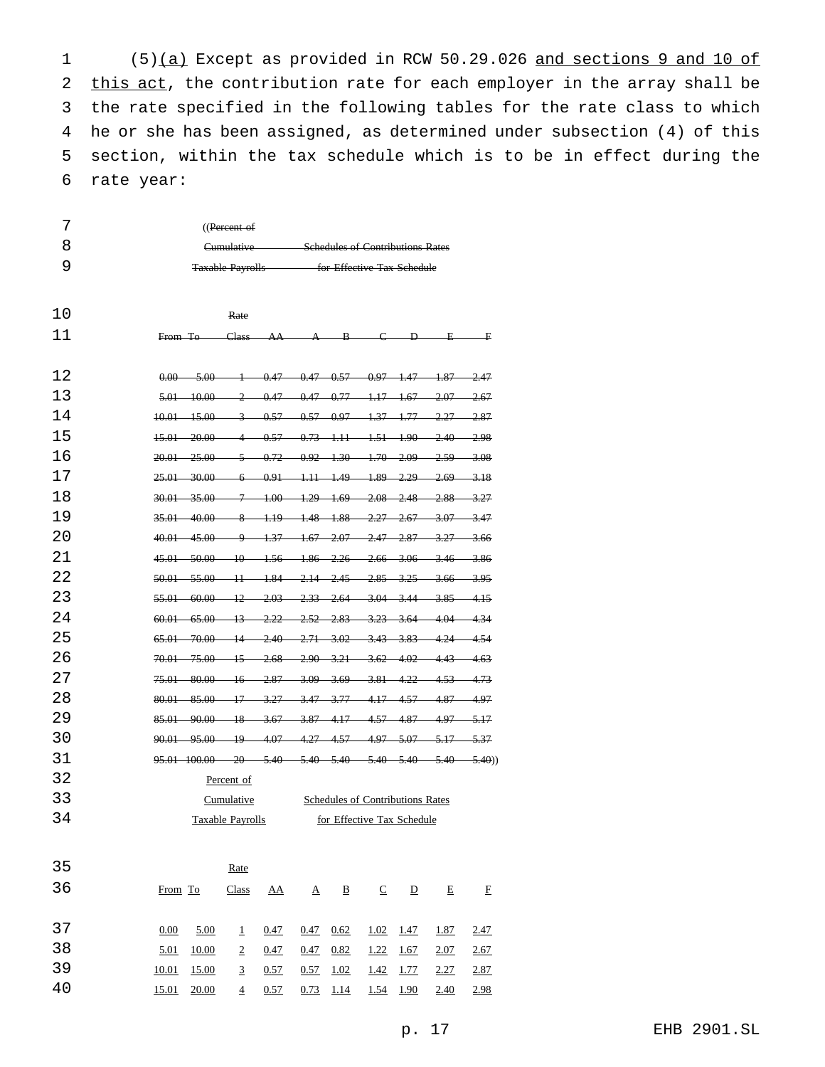(5)(a) Except as provided in RCW 50.29.026 and sections 9 and 10 of 2 this act, the contribution rate for each employer in the array shall be the rate specified in the following tables for the rate class to which he or she has been assigned, as determined under subsection (4) of this section, within the tax schedule which is to be in effect during the rate year:

| $($ (Percent of         |                                         |
|-------------------------|-----------------------------------------|
| Cumulative              | <b>Schedules of Contributions Rates</b> |
| <b>Taxable Payrolls</b> | for Effective Tax Schedule              |

| 10  |                                                                               | Rate                                                               |                                                            |                                    |                         |                                 |                         |          |             |
|-----|-------------------------------------------------------------------------------|--------------------------------------------------------------------|------------------------------------------------------------|------------------------------------|-------------------------|---------------------------------|-------------------------|----------|-------------|
| 11  | From To—                                                                      | <b>Class</b>                                                       | AA                                                         |                                    | $A \rightarrow B$       | $\epsilon$                      | $\overline{P}$          | 耳.       | 手           |
|     |                                                                               |                                                                    |                                                            |                                    |                         |                                 |                         |          |             |
| 12  |                                                                               | $0.00$ $5.00$ $1$ $0.47$ $0.47$ $0.57$ $0.97$ $1.47$ $1.87$ $2.47$ |                                                            |                                    |                         |                                 |                         |          |             |
| 13  | $5.01 - 10.00$                                                                |                                                                    | $-2$ $-0.47$ $-0.47$ $-0.77$ $-1.17$ $-1.67$               |                                    |                         |                                 |                         | $-2.07-$ | $-2.67$     |
| 14  | $10.01$ $15.00$ $3$ $0.57$ $0.57$ $0.97$ $1.37$ $1.77$ $2.27$ $2.87$          |                                                                    |                                                            |                                    |                         |                                 |                         |          |             |
| 15  | $15.01 - 20.00$                                                               |                                                                    | $4 \quad 0.57 \quad 0.73 \quad 1.11 \quad 1.51 \quad 1.90$ |                                    |                         |                                 |                         | $-2.40$  | $-2.98$     |
| 16  | 20.01<br>$-25.00$                                                             | -5                                                                 | 0.72                                                       |                                    | $0.92 - 1.30$           | $-1.70-$                        | $-2.09$                 | -2.59    | $-3.08$     |
| 17  | 25.01<br>-30.00                                                               | $\leftarrow$                                                       | 0.91                                                       | $+1.11-$                           | $-1.49$                 | $+89$                           | -2.29                   | -2.69    | 3.18        |
| 18  | $30.01 - 35.00$                                                               |                                                                    | $7 - 1.00$                                                 |                                    | $-1.29 - 1.69$          | $-2.08$                         | $-2.48$                 | 2.88     | $-3.27$     |
| 19  | 35.01 40.00                                                                   | $\overline{\mathcal{X}}$                                           | $+1.19$                                                    | $-1.48 - 1.88$                     |                         | 2.27                            | $-2.67$                 | 3.07     | $-3.47$     |
| 20  | $40.01 - 45.00$                                                               | $\overline{\mathbf{Q}}$                                            | $+37-$                                                     |                                    |                         | $1.67$ $2.07$ $2.47$ $2.87$     |                         | $-3.27$  | $-3.66$     |
| 21  | 45.01 50.00                                                                   | $-10$                                                              |                                                            | $1.56$ $1.86$ $2.26$ $2.66$ $3.06$ |                         |                                 |                         | $-3.46$  | $-3.86$     |
| 22  | 50.01 55.00 11 1.84 2.14 2.45 2.85 3.25                                       |                                                                    |                                                            |                                    |                         |                                 |                         | $-3.66-$ | $-3.95$     |
| 23  | $55.01 - 60.00$                                                               | $+2-$                                                              | $-2.03-$                                                   |                                    |                         | 2.33 2.64 3.04 3.44             |                         | $-3.85-$ | 4.15        |
| 24  | $60.01 - 65.00$                                                               | $-13$                                                              | $-2.22$                                                    |                                    | $2.52 - 2.83$           |                                 | $-3.23$ $-3.64$         | 4.04     | 4.34        |
| 25  | 65.01 70.00                                                                   | $-14-$                                                             | $2.40 -$                                                   |                                    | $2.71 - 3.02$           |                                 | $-3.43 - 3.83$          | 4.24     | 4.54        |
| 26  | $70.01$ $75.00$ $15$                                                          |                                                                    | $2.68 -$                                                   |                                    |                         | $-2.90$ $-3.21$ $-3.62$ $-4.02$ |                         | 4.43     | $-4.63$     |
| 2.7 | 75.01 80.00                                                                   | $\overline{16}$                                                    | $-2.87-$                                                   |                                    |                         | $3.09$ $3.69$ $3.81$ $4.22$     |                         | 4.53     | 4.73        |
| 28  | 80.01<br>-85.00                                                               | $+7$                                                               | $-3.27$                                                    | $-3.47$                            | $-3.77$                 | $-4.17$                         | 4.57                    | 4.87     | 4.97        |
| 29  | 85.01 90.00                                                                   | $+8$                                                               | $-3.67$                                                    | $-3.87$                            | $-4.17$                 | $-4.57-$                        | -4.87                   | -4.97    | $-5.17$     |
| 30  | $90.01 - 95.00$                                                               | $\overline{19}$                                                    | 4.07                                                       | 4.27                               | $-4.57$                 | 4.97                            | $-5.07$                 | $-5.17$  | $-5.37$     |
| 31  | $95.01$ $100.00$ $20$ $5.40$ $5.40$ $5.40$ $5.40$ $5.40$ $5.40$ $5.40$ $5.40$ |                                                                    |                                                            |                                    |                         |                                 |                         |          |             |
| 32  |                                                                               | Percent of                                                         |                                                            |                                    |                         |                                 |                         |          |             |
| 33  |                                                                               | Cumulative                                                         |                                                            | Schedules of Contributions Rates   |                         |                                 |                         |          |             |
| 34  |                                                                               | Taxable Payrolls                                                   |                                                            |                                    |                         | for Effective Tax Schedule      |                         |          |             |
|     |                                                                               |                                                                    |                                                            |                                    |                         |                                 |                         |          |             |
| 35  |                                                                               | Rate                                                               |                                                            |                                    |                         |                                 |                         |          |             |
| 36  | From To                                                                       | <b>Class</b>                                                       | <u>AA</u>                                                  | $\Delta$                           | $\overline{\mathbf{B}}$ | $\subseteq$                     | $\overline{\mathsf{D}}$ | E        | E           |
|     |                                                                               |                                                                    |                                                            |                                    |                         |                                 |                         |          |             |
| 37  | 0.00                                                                          | 5.00<br>$\perp$                                                    | 0.47                                                       | 0.47                               | 0.62                    | 1.02                            | 1.47                    | 1.87     | 2.47        |
| 38  | 5.01<br><u>10.00</u>                                                          | $\overline{2}$                                                     | 0.47                                                       | 0.47                               | 0.82                    | 1.22                            | 1.67                    | 2.07     | 2.67        |
| 39  | 10.01<br>15.00                                                                | $\overline{3}$                                                     | 0.57                                                       | 0.57                               | 1.02                    | 1.42                            | 1.77                    | 2.27     | <u>2.87</u> |
| 40  | 15.01<br>20.00                                                                | $\overline{4}$                                                     | 0.57                                                       | 0.73                               | 1.14                    | 1.54                            | 1.90                    | 2.40     | 2.98        |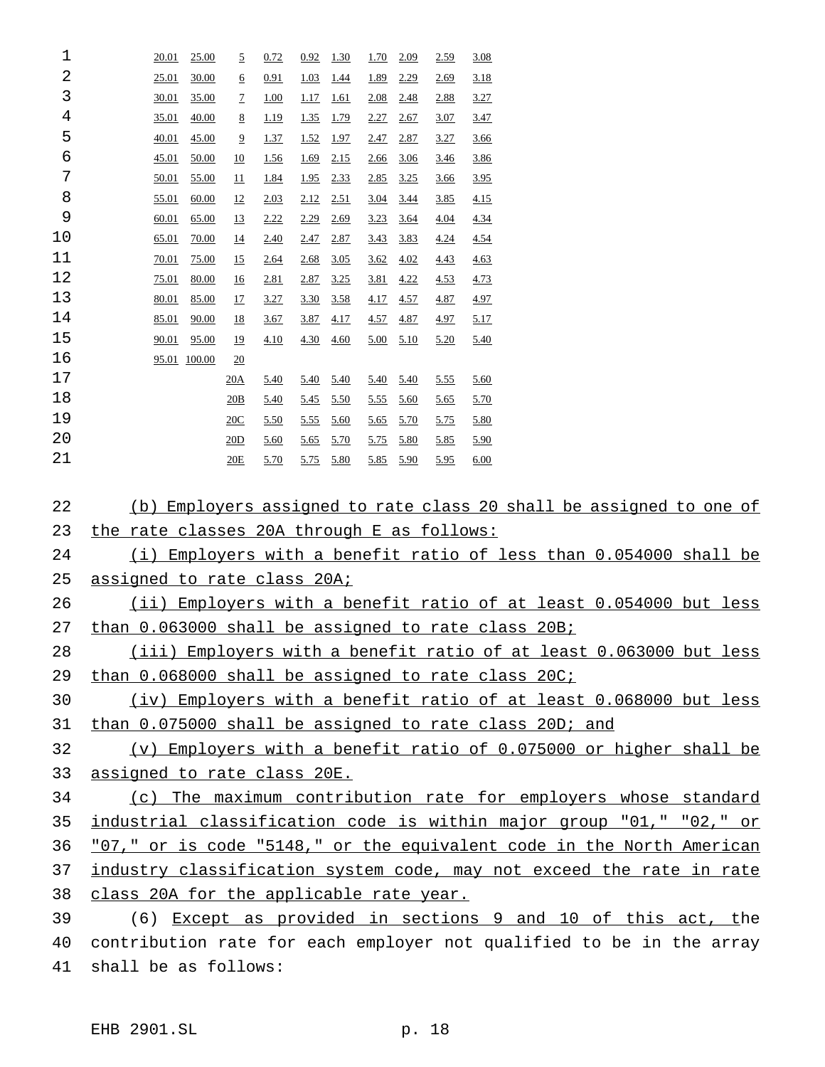| 1        | 20.01                                                             | 25.00          | $\overline{2}$         | 0.72         | 0.92          | 1.30                | <u>1.70</u>  | 2.09             | 2.59         | <u>3.08</u>                                                           |
|----------|-------------------------------------------------------------------|----------------|------------------------|--------------|---------------|---------------------|--------------|------------------|--------------|-----------------------------------------------------------------------|
| 2        | 25.01                                                             | 30.00          | <u>6</u>               | 0.91         | 1.03          | <u>1.44</u>         | <u>1.89</u>  | 2.29             | 2.69         | <u>3.18</u>                                                           |
| 3        | 30.01                                                             | 35.00          | 7                      | <u>1.00</u>  | <u>1.17</u>   | <u>1.61</u>         | 2.08         | 2.48             | 2.88         | <u>3.27</u>                                                           |
| 4        | 35.01                                                             | 40.00          | 8                      | 1.19         | 1.35          | 1.79                | 2.27         | 2.67             | <u>3.07</u>  | 3.47                                                                  |
| 5        | 40.01                                                             | 45.00          | $\overline{2}$         | <u>1.37</u>  | $1.52$ 1.97   |                     | 2.47         | <u>2.87</u>      | <u>3.27</u>  | 3.66                                                                  |
| 6        | 45.01                                                             | 50.00          | <u>10</u>              | <u>1.56</u>  |               | $\frac{1.69}{2.15}$ | <u>2.66</u>  | <u>3.06</u>      | <u>3.46</u>  | 3.86                                                                  |
| 7        | 50.01                                                             | 55.00          | $\overline{11}$        | <u>1.84</u>  | 1.95          | 2.33                | <u>2.85</u>  | 3.25             | <u>3.66</u>  | <u>3.95</u>                                                           |
| 8        | 55.01                                                             | 60.00          | $\overline{12}$        | 2.03         | $2.12$ $2.51$ |                     | <u>3.04</u>  | <u>3.44</u>      | <u>3.85</u>  | 4.15                                                                  |
| 9        | <u>60.01</u>                                                      | 65.00          | <u>13</u>              | 2.22         |               | $2.29$ $2.69$       | 3.23         | <u>3.64</u>      | <u>4.04</u>  | 4.34                                                                  |
| 10<br>11 | 65.01                                                             | <u>70.00</u>   | $\overline{14}$        | 2.40         | 2.47          | 2.87                | 3.43         | 3.83             | <u>4.24</u>  | 4.54                                                                  |
| 12       | 70.01<br>75.01                                                    | 75.00<br>80.00 | 15                     | 2.64<br>2.81 | 2.68<br>2.87  | 3.05<br>3.25        | 3.62<br>3.81 | 4.02<br>4.22     | 4.43<br>4.53 | 4.63<br>4.73                                                          |
| 13       | 80.01                                                             | 85.00          | <u>16</u><br><u>17</u> | 3.27         | 3.30          | 3.58                | 4.17         | 4.57             | <u>4.87</u>  | 4.97                                                                  |
| 14       | 85.01                                                             | 90.00          | <u>18</u>              | <u>3.67</u>  | <u>3.87</u>   | 4.17                | <u>4.57</u>  | 4.87             | <u>4.97</u>  | 5.17                                                                  |
| 15       | 90.01                                                             | 95.00          | $\overline{19}$        | 4.10         | <u>4.30</u>   | 4.60                |              | $5.00\quad 5.10$ | 5.20         | 5.40                                                                  |
| 16       | 95.01 100.00                                                      |                | 20                     |              |               |                     |              |                  |              |                                                                       |
| 17       |                                                                   |                | 20A                    | 5.40         | 5.40          | 5.40                | 5.40         | <u>5.40</u>      | 5.55         | 5.60                                                                  |
| 18       |                                                                   |                | 20B                    | 5.40         | 5.45          | 5.50                | <u>5.55</u>  | 5.60             | <u>5.65</u>  | 5.70                                                                  |
| 19       |                                                                   |                | 20C                    | 5.50         | 5.55          | 5.60                | 5.65         | 5.70             | 5.75         | 5.80                                                                  |
| 20       |                                                                   |                | 20D                    | 5.60         | 5.65          | 5.70                | 5.75         | 5.80             | 5.85         | 5.90                                                                  |
| 21       |                                                                   |                | 20E                    | 5.70         |               | 5.75 5.80           |              | 5.85 5.90        | <u>5.95</u>  | 6.00                                                                  |
|          |                                                                   |                |                        |              |               |                     |              |                  |              |                                                                       |
| 22       |                                                                   |                |                        |              |               |                     |              |                  |              | (b) Employers assigned to rate class 20 shall be assigned to one of   |
| 23       | the rate classes 20A through E as follows:                        |                |                        |              |               |                     |              |                  |              |                                                                       |
| 24       | (i) Employers with a benefit ratio of less than 0.054000 shall be |                |                        |              |               |                     |              |                  |              |                                                                       |
| 25       |                                                                   |                |                        |              |               |                     |              |                  |              |                                                                       |
|          | <u>assigned to rate class 20A;</u>                                |                |                        |              |               |                     |              |                  |              |                                                                       |
| 26       |                                                                   |                |                        |              |               |                     |              |                  |              | (ii) Employers with a benefit ratio of at least 0.054000 but less     |
| 27       |                                                                   |                |                        |              |               |                     |              |                  |              | than 0.063000 shall be assigned to rate class 20B;                    |
| 28       |                                                                   |                |                        |              |               |                     |              |                  |              | (iii) Employers with a benefit ratio of at least 0.063000 but less    |
| 29       |                                                                   |                |                        |              |               |                     |              |                  |              | than 0.068000 shall be assigned to rate class 20C;                    |
| 30       |                                                                   |                |                        |              |               |                     |              |                  |              | (iv) Employers with a benefit ratio of at least 0.068000 but less     |
| 31       |                                                                   |                |                        |              |               |                     |              |                  |              | than 0.075000 shall be assigned to rate class 20D; and                |
| 32       |                                                                   |                |                        |              |               |                     |              |                  |              | (v) Employers with a benefit ratio of 0.075000 or higher shall be     |
| 33       | assigned to rate class 20E.                                       |                |                        |              |               |                     |              |                  |              |                                                                       |
| 34       |                                                                   |                |                        |              |               |                     |              |                  |              | (c) The maximum contribution rate for employers whose standard        |
| 35       |                                                                   |                |                        |              |               |                     |              |                  |              | industrial classification code is within major group "01," "02," or   |
| 36       |                                                                   |                |                        |              |               |                     |              |                  |              | "07," or is code "5148," or the equivalent code in the North American |
| 37       |                                                                   |                |                        |              |               |                     |              |                  |              | industry classification system code, may not exceed the rate in rate  |
| 38       | class 20A for the applicable rate year.                           |                |                        |              |               |                     |              |                  |              |                                                                       |
| 39       |                                                                   |                |                        |              |               |                     |              |                  |              | (6) Except as provided in sections 9 and 10 of this act, the          |
| 40       |                                                                   |                |                        |              |               |                     |              |                  |              | contribution rate for each employer not qualified to be in the array  |
| 41       | shall be as follows:                                              |                |                        |              |               |                     |              |                  |              |                                                                       |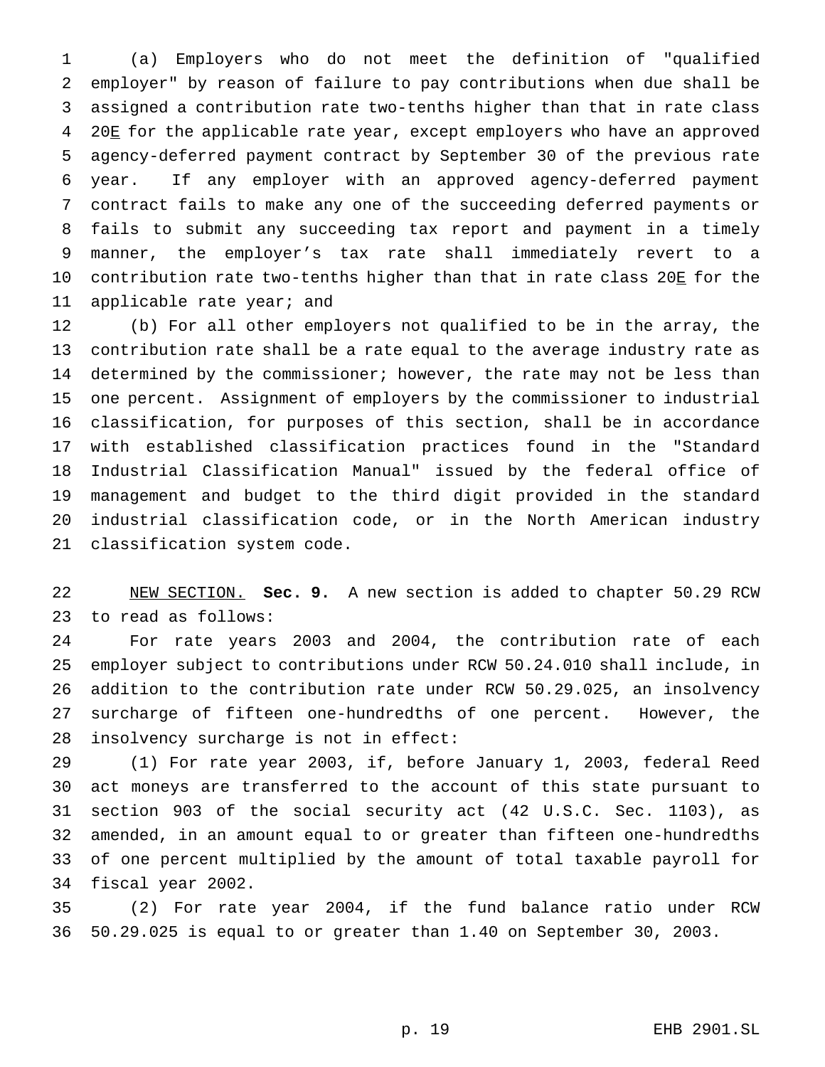(a) Employers who do not meet the definition of "qualified employer" by reason of failure to pay contributions when due shall be assigned a contribution rate two-tenths higher than that in rate class 20E for the applicable rate year, except employers who have an approved agency-deferred payment contract by September 30 of the previous rate year. If any employer with an approved agency-deferred payment contract fails to make any one of the succeeding deferred payments or fails to submit any succeeding tax report and payment in a timely manner, the employer's tax rate shall immediately revert to a 10 contribution rate two-tenths higher than that in rate class 20E for the applicable rate year; and

 (b) For all other employers not qualified to be in the array, the contribution rate shall be a rate equal to the average industry rate as determined by the commissioner; however, the rate may not be less than one percent. Assignment of employers by the commissioner to industrial classification, for purposes of this section, shall be in accordance with established classification practices found in the "Standard Industrial Classification Manual" issued by the federal office of management and budget to the third digit provided in the standard industrial classification code, or in the North American industry classification system code.

 NEW SECTION. **Sec. 9.** A new section is added to chapter 50.29 RCW to read as follows:

 For rate years 2003 and 2004, the contribution rate of each employer subject to contributions under RCW 50.24.010 shall include, in addition to the contribution rate under RCW 50.29.025, an insolvency surcharge of fifteen one-hundredths of one percent. However, the insolvency surcharge is not in effect:

 (1) For rate year 2003, if, before January 1, 2003, federal Reed act moneys are transferred to the account of this state pursuant to section 903 of the social security act (42 U.S.C. Sec. 1103), as amended, in an amount equal to or greater than fifteen one-hundredths of one percent multiplied by the amount of total taxable payroll for fiscal year 2002.

 (2) For rate year 2004, if the fund balance ratio under RCW 50.29.025 is equal to or greater than 1.40 on September 30, 2003.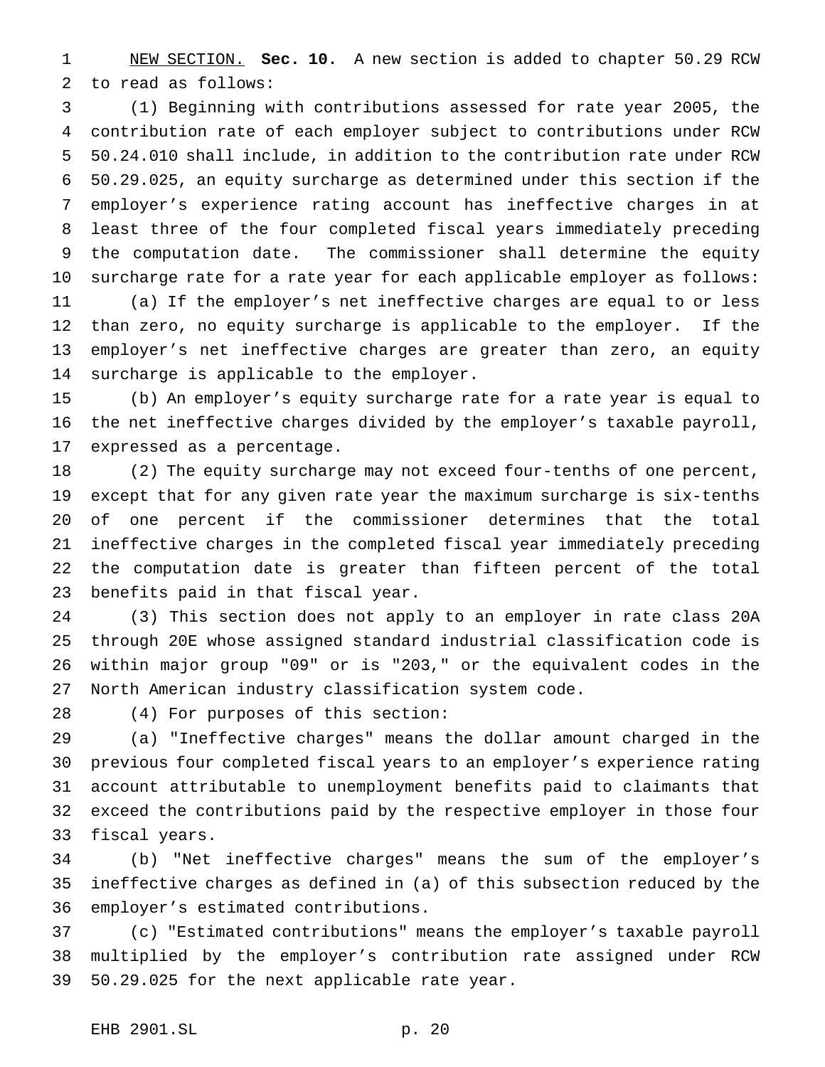NEW SECTION. **Sec. 10.** A new section is added to chapter 50.29 RCW to read as follows:

 (1) Beginning with contributions assessed for rate year 2005, the contribution rate of each employer subject to contributions under RCW 50.24.010 shall include, in addition to the contribution rate under RCW 50.29.025, an equity surcharge as determined under this section if the employer's experience rating account has ineffective charges in at least three of the four completed fiscal years immediately preceding the computation date. The commissioner shall determine the equity surcharge rate for a rate year for each applicable employer as follows: (a) If the employer's net ineffective charges are equal to or less than zero, no equity surcharge is applicable to the employer. If the employer's net ineffective charges are greater than zero, an equity surcharge is applicable to the employer.

 (b) An employer's equity surcharge rate for a rate year is equal to the net ineffective charges divided by the employer's taxable payroll, expressed as a percentage.

 (2) The equity surcharge may not exceed four-tenths of one percent, except that for any given rate year the maximum surcharge is six-tenths of one percent if the commissioner determines that the total ineffective charges in the completed fiscal year immediately preceding the computation date is greater than fifteen percent of the total benefits paid in that fiscal year.

 (3) This section does not apply to an employer in rate class 20A through 20E whose assigned standard industrial classification code is within major group "09" or is "203," or the equivalent codes in the North American industry classification system code.

(4) For purposes of this section:

 (a) "Ineffective charges" means the dollar amount charged in the previous four completed fiscal years to an employer's experience rating account attributable to unemployment benefits paid to claimants that exceed the contributions paid by the respective employer in those four fiscal years.

 (b) "Net ineffective charges" means the sum of the employer's ineffective charges as defined in (a) of this subsection reduced by the employer's estimated contributions.

 (c) "Estimated contributions" means the employer's taxable payroll multiplied by the employer's contribution rate assigned under RCW 50.29.025 for the next applicable rate year.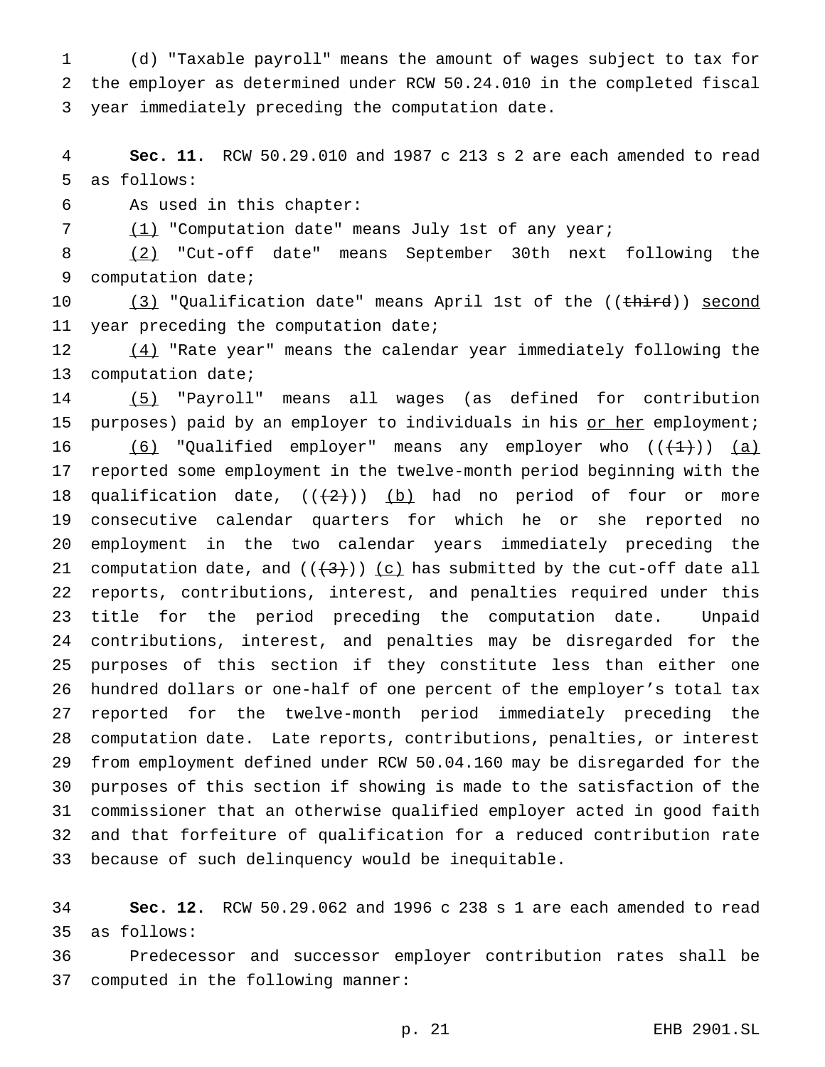(d) "Taxable payroll" means the amount of wages subject to tax for the employer as determined under RCW 50.24.010 in the completed fiscal year immediately preceding the computation date.

 **Sec. 11.** RCW 50.29.010 and 1987 c 213 s 2 are each amended to read as follows:

As used in this chapter:

7 (1) "Computation date" means July 1st of any year;

 (2) "Cut-off date" means September 30th next following the computation date;

10 (3) "Qualification date" means April 1st of the ((<del>third</del>)) second 11 year preceding the computation date;

 (4) "Rate year" means the calendar year immediately following the computation date;

 (5) "Payroll" means all wages (as defined for contribution 15 purposes) paid by an employer to individuals in his or her employment;  $(6)$  "Qualified employer" means any employer who  $((+1))$   $(a)$  reported some employment in the twelve-month period beginning with the 18 qualification date,  $((+2))$  (b) had no period of four or more consecutive calendar quarters for which he or she reported no employment in the two calendar years immediately preceding the 21 computation date, and  $((+3))$   $(c)$  has submitted by the cut-off date all reports, contributions, interest, and penalties required under this title for the period preceding the computation date. Unpaid contributions, interest, and penalties may be disregarded for the purposes of this section if they constitute less than either one hundred dollars or one-half of one percent of the employer's total tax reported for the twelve-month period immediately preceding the computation date. Late reports, contributions, penalties, or interest from employment defined under RCW 50.04.160 may be disregarded for the purposes of this section if showing is made to the satisfaction of the commissioner that an otherwise qualified employer acted in good faith and that forfeiture of qualification for a reduced contribution rate because of such delinquency would be inequitable.

 **Sec. 12.** RCW 50.29.062 and 1996 c 238 s 1 are each amended to read as follows:

 Predecessor and successor employer contribution rates shall be computed in the following manner: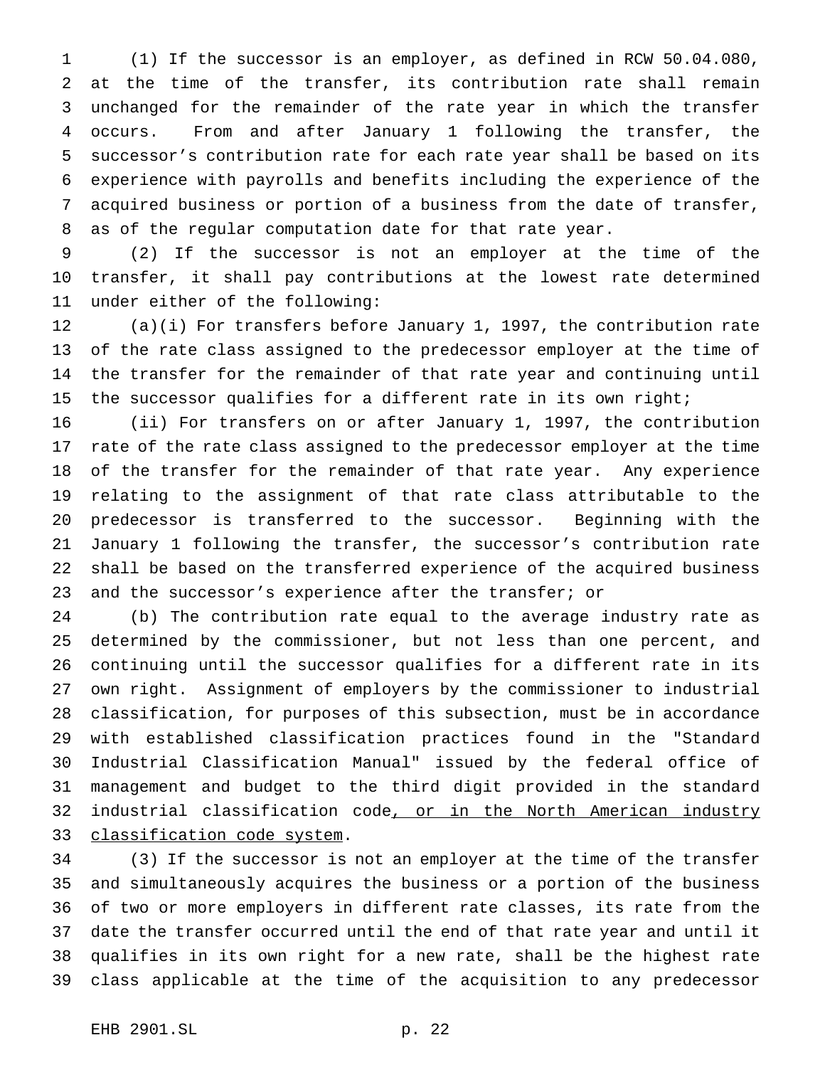(1) If the successor is an employer, as defined in RCW 50.04.080, at the time of the transfer, its contribution rate shall remain unchanged for the remainder of the rate year in which the transfer occurs. From and after January 1 following the transfer, the successor's contribution rate for each rate year shall be based on its experience with payrolls and benefits including the experience of the acquired business or portion of a business from the date of transfer, as of the regular computation date for that rate year.

 (2) If the successor is not an employer at the time of the transfer, it shall pay contributions at the lowest rate determined under either of the following:

 (a)(i) For transfers before January 1, 1997, the contribution rate of the rate class assigned to the predecessor employer at the time of the transfer for the remainder of that rate year and continuing until the successor qualifies for a different rate in its own right;

 (ii) For transfers on or after January 1, 1997, the contribution rate of the rate class assigned to the predecessor employer at the time of the transfer for the remainder of that rate year. Any experience relating to the assignment of that rate class attributable to the predecessor is transferred to the successor. Beginning with the January 1 following the transfer, the successor's contribution rate shall be based on the transferred experience of the acquired business and the successor's experience after the transfer; or

 (b) The contribution rate equal to the average industry rate as determined by the commissioner, but not less than one percent, and continuing until the successor qualifies for a different rate in its own right. Assignment of employers by the commissioner to industrial classification, for purposes of this subsection, must be in accordance with established classification practices found in the "Standard Industrial Classification Manual" issued by the federal office of management and budget to the third digit provided in the standard 32 industrial classification code, or in the North American industry 33 classification code system.

 (3) If the successor is not an employer at the time of the transfer and simultaneously acquires the business or a portion of the business of two or more employers in different rate classes, its rate from the date the transfer occurred until the end of that rate year and until it qualifies in its own right for a new rate, shall be the highest rate class applicable at the time of the acquisition to any predecessor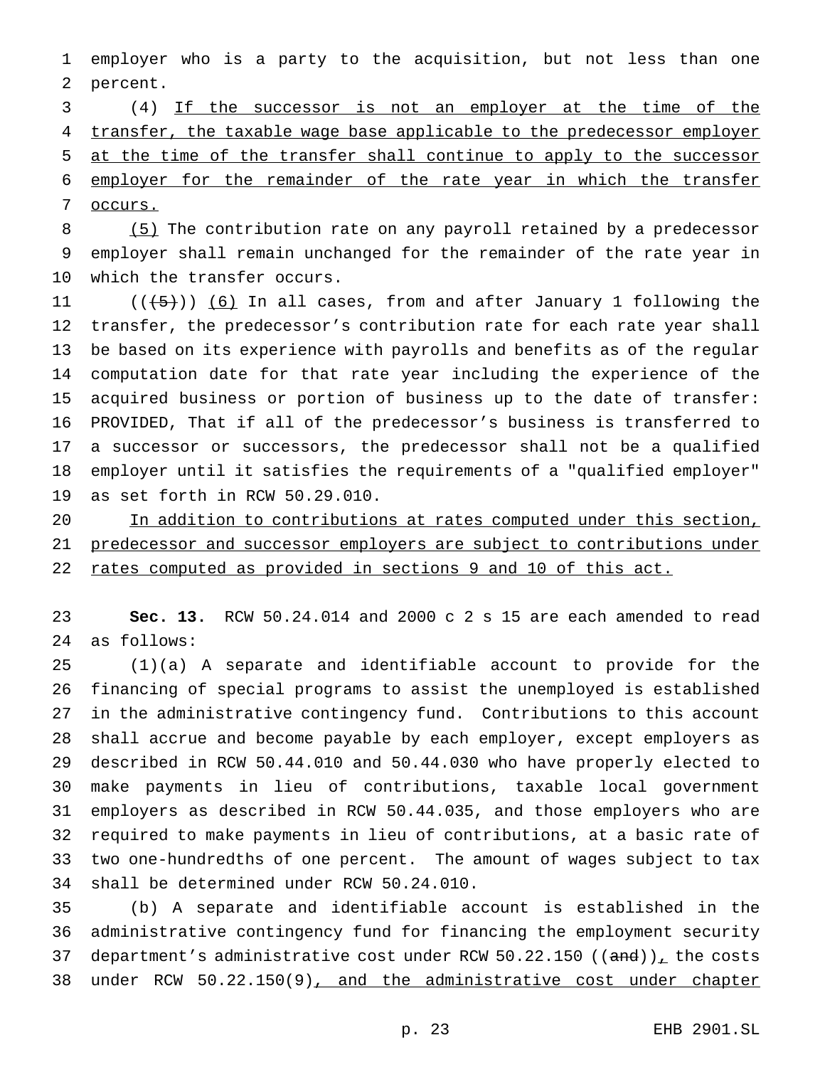employer who is a party to the acquisition, but not less than one percent.

 (4) If the successor is not an employer at the time of the 4 transfer, the taxable wage base applicable to the predecessor employer at the time of the transfer shall continue to apply to the successor employer for the remainder of the rate year in which the transfer occurs.

8 (5) The contribution rate on any payroll retained by a predecessor employer shall remain unchanged for the remainder of the rate year in which the transfer occurs.

 $((+5))$   $(6)$  In all cases, from and after January 1 following the transfer, the predecessor's contribution rate for each rate year shall be based on its experience with payrolls and benefits as of the regular computation date for that rate year including the experience of the acquired business or portion of business up to the date of transfer: PROVIDED, That if all of the predecessor's business is transferred to a successor or successors, the predecessor shall not be a qualified employer until it satisfies the requirements of a "qualified employer" as set forth in RCW 50.29.010.

 In addition to contributions at rates computed under this section, 21 predecessor and successor employers are subject to contributions under rates computed as provided in sections 9 and 10 of this act.

 **Sec. 13.** RCW 50.24.014 and 2000 c 2 s 15 are each amended to read as follows:

 (1)(a) A separate and identifiable account to provide for the financing of special programs to assist the unemployed is established in the administrative contingency fund. Contributions to this account shall accrue and become payable by each employer, except employers as described in RCW 50.44.010 and 50.44.030 who have properly elected to make payments in lieu of contributions, taxable local government employers as described in RCW 50.44.035, and those employers who are required to make payments in lieu of contributions, at a basic rate of two one-hundredths of one percent. The amount of wages subject to tax shall be determined under RCW 50.24.010.

 (b) A separate and identifiable account is established in the administrative contingency fund for financing the employment security 37 department's administrative cost under RCW 50.22.150 (( $\text{and}$ )), the costs 38 under RCW 50.22.150(9), and the administrative cost under chapter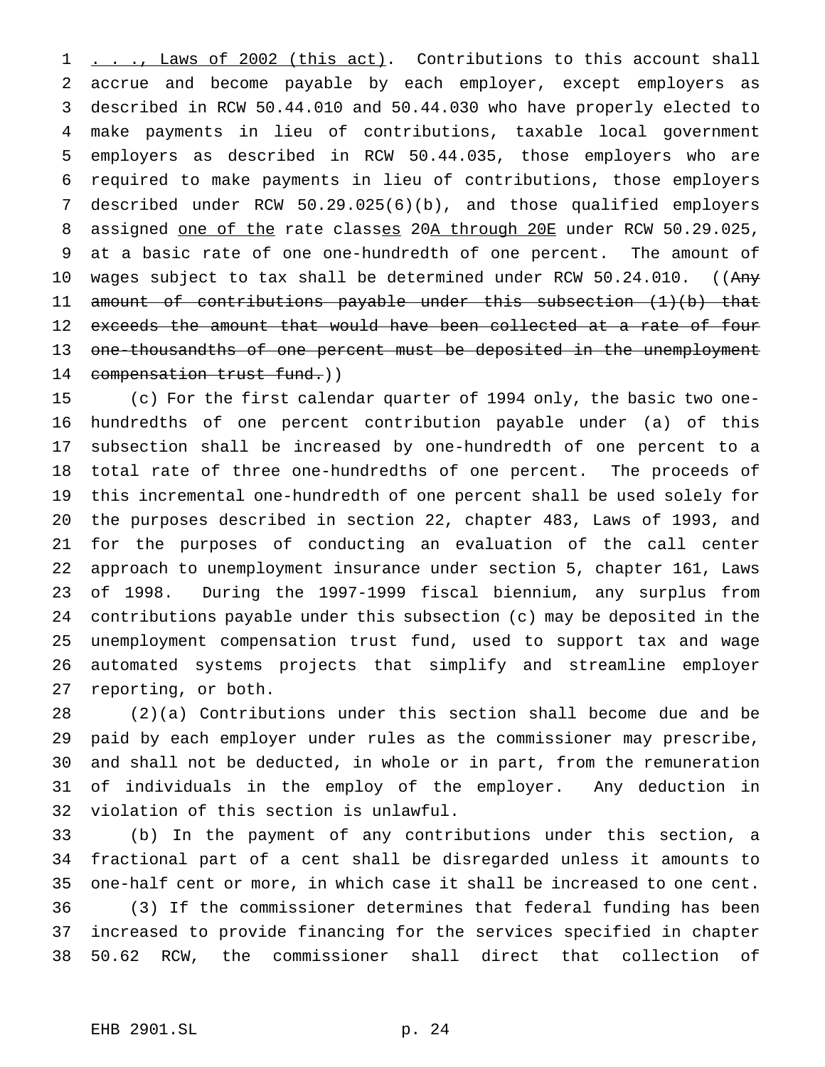1 . . ., Laws of 2002 (this act). Contributions to this account shall accrue and become payable by each employer, except employers as described in RCW 50.44.010 and 50.44.030 who have properly elected to make payments in lieu of contributions, taxable local government employers as described in RCW 50.44.035, those employers who are required to make payments in lieu of contributions, those employers described under RCW 50.29.025(6)(b), and those qualified employers 8 assigned one of the rate classes 20A through 20E under RCW 50.29.025, at a basic rate of one one-hundredth of one percent. The amount of 10 wages subject to tax shall be determined under RCW 50.24.010. ((Any amount of contributions payable under this subsection (1)(b) that 12 exceeds the amount that would have been collected at a rate of four one-thousandths of one percent must be deposited in the unemployment 14 compensation trust fund.))

 (c) For the first calendar quarter of 1994 only, the basic two one- hundredths of one percent contribution payable under (a) of this subsection shall be increased by one-hundredth of one percent to a total rate of three one-hundredths of one percent. The proceeds of this incremental one-hundredth of one percent shall be used solely for the purposes described in section 22, chapter 483, Laws of 1993, and for the purposes of conducting an evaluation of the call center approach to unemployment insurance under section 5, chapter 161, Laws of 1998. During the 1997-1999 fiscal biennium, any surplus from contributions payable under this subsection (c) may be deposited in the unemployment compensation trust fund, used to support tax and wage automated systems projects that simplify and streamline employer reporting, or both.

 (2)(a) Contributions under this section shall become due and be paid by each employer under rules as the commissioner may prescribe, and shall not be deducted, in whole or in part, from the remuneration of individuals in the employ of the employer. Any deduction in violation of this section is unlawful.

 (b) In the payment of any contributions under this section, a fractional part of a cent shall be disregarded unless it amounts to one-half cent or more, in which case it shall be increased to one cent. (3) If the commissioner determines that federal funding has been increased to provide financing for the services specified in chapter 50.62 RCW, the commissioner shall direct that collection of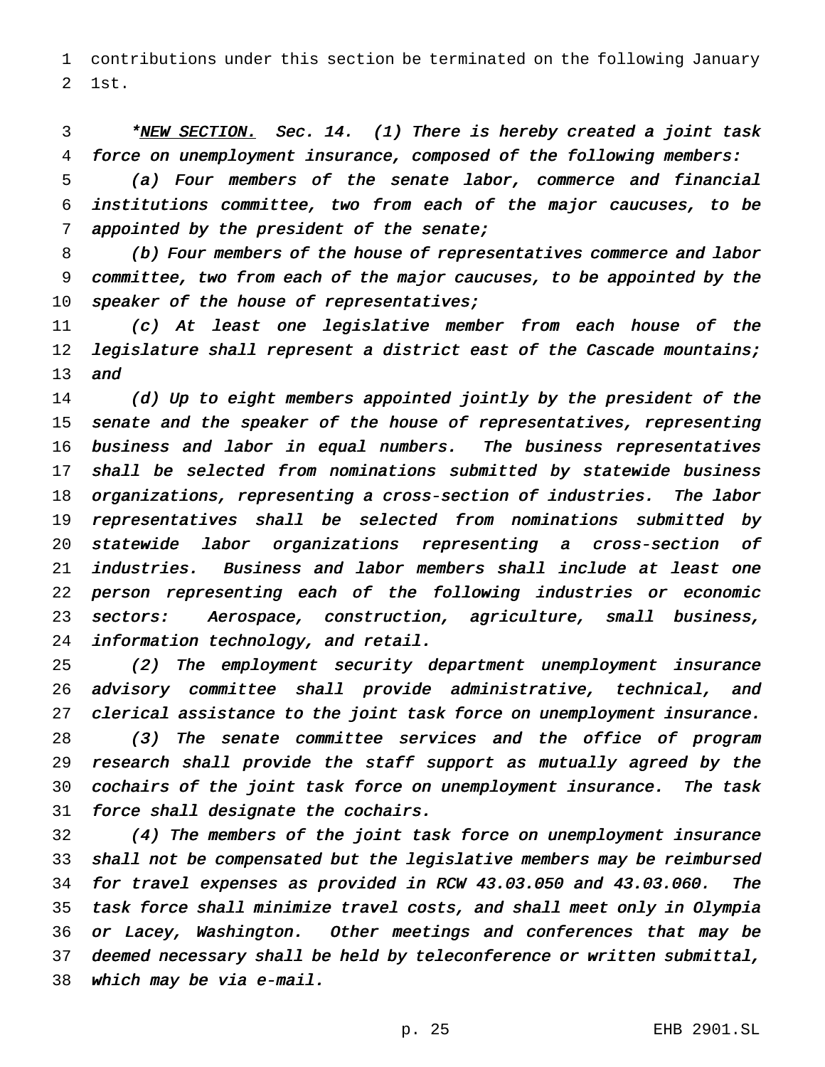contributions under this section be terminated on the following January 1st.

3 \*NEW SECTION. Sec. 14. (1) There is hereby created a joint task force on unemployment insurance, composed of the following members:

 (a) Four members of the senate labor, commerce and financial institutions committee, two from each of the major caucuses, to be 7 appointed by the president of the senate;

 (b) Four members of the house of representatives commerce and labor committee, two from each of the major caucuses, to be appointed by the 10 speaker of the house of representatives;

 (c) At least one legislative member from each house of the 12 legislature shall represent a district east of the Cascade mountains; and

14 (d) Up to eight members appointed jointly by the president of the 15 senate and the speaker of the house of representatives, representing business and labor in equal numbers. The business representatives shall be selected from nominations submitted by statewide business organizations, representing <sup>a</sup> cross-section of industries. The labor representatives shall be selected from nominations submitted by statewide labor organizations representing <sup>a</sup> cross-section of industries. Business and labor members shall include at least one person representing each of the following industries or economic sectors: Aerospace, construction, agriculture, small business, information technology, and retail.

 (2) The employment security department unemployment insurance advisory committee shall provide administrative, technical, and clerical assistance to the joint task force on unemployment insurance. (3) The senate committee services and the office of program research shall provide the staff support as mutually agreed by the cochairs of the joint task force on unemployment insurance. The task force shall designate the cochairs.

 (4) The members of the joint task force on unemployment insurance shall not be compensated but the legislative members may be reimbursed for travel expenses as provided in RCW 43.03.050 and 43.03.060. The task force shall minimize travel costs, and shall meet only in Olympia or Lacey, Washington. Other meetings and conferences that may be deemed necessary shall be held by teleconference or written submittal, which may be via e-mail.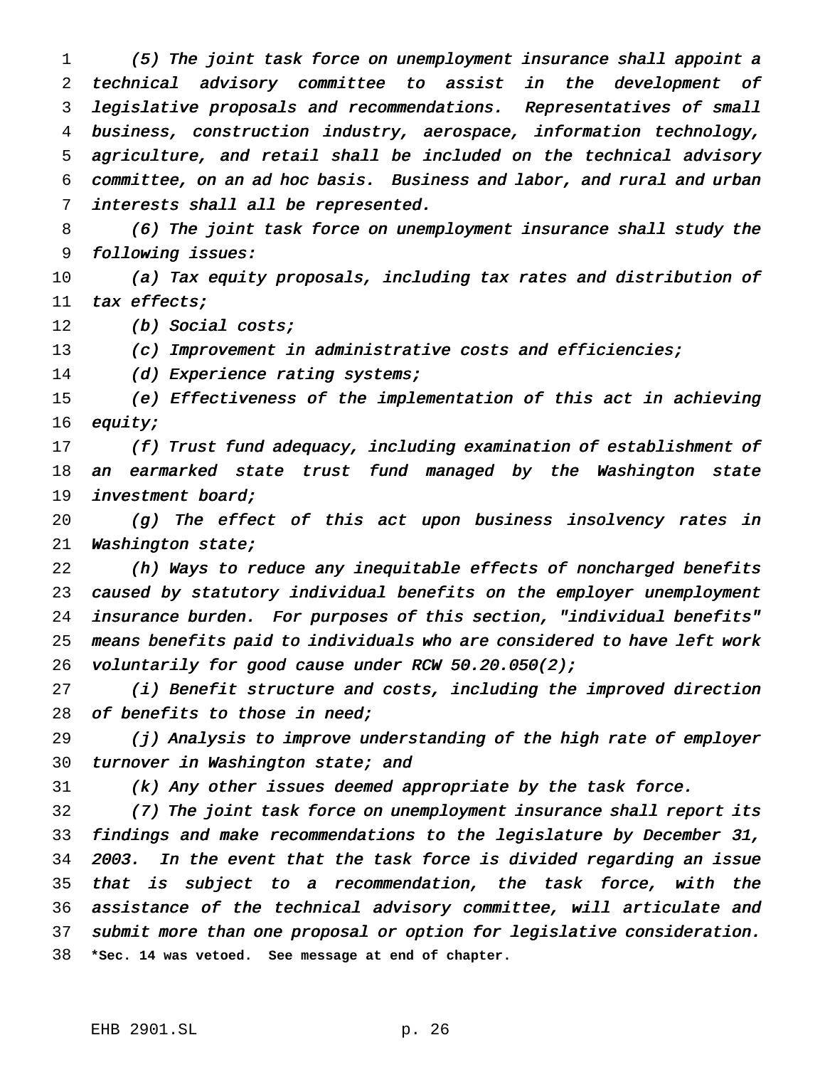(5) The joint task force on unemployment insurance shall appoint <sup>a</sup> technical advisory committee to assist in the development of legislative proposals and recommendations. Representatives of small business, construction industry, aerospace, information technology, agriculture, and retail shall be included on the technical advisory committee, on an ad hoc basis. Business and labor, and rural and urban interests shall all be represented.

 (6) The joint task force on unemployment insurance shall study the following issues:

 (a) Tax equity proposals, including tax rates and distribution of tax effects;

12 (b) Social costs;

(c) Improvement in administrative costs and efficiencies;

14 (d) Experience rating systems;

 (e) Effectiveness of the implementation of this act in achieving equity;

 (f) Trust fund adequacy, including examination of establishment of 18 an earmarked state trust fund managed by the Washington state investment board;

 (g) The effect of this act upon business insolvency rates in Washington state;

 (h) Ways to reduce any inequitable effects of noncharged benefits caused by statutory individual benefits on the employer unemployment insurance burden. For purposes of this section, "individual benefits" means benefits paid to individuals who are considered to have left work 26 voluntarily for good cause under RCW 50.20.050(2);

 (i) Benefit structure and costs, including the improved direction 28 of benefits to those in need;

 (j) Analysis to improve understanding of the high rate of employer 30 turnover in Washington state; and

(k) Any other issues deemed appropriate by the task force.

 (7) The joint task force on unemployment insurance shall report its findings and make recommendations to the legislature by December 31, 2003. In the event that the task force is divided regarding an issue that is subject to <sup>a</sup> recommendation, the task force, with the assistance of the technical advisory committee, will articulate and submit more than one proposal or option for legislative consideration. **\*Sec. 14 was vetoed. See message at end of chapter.**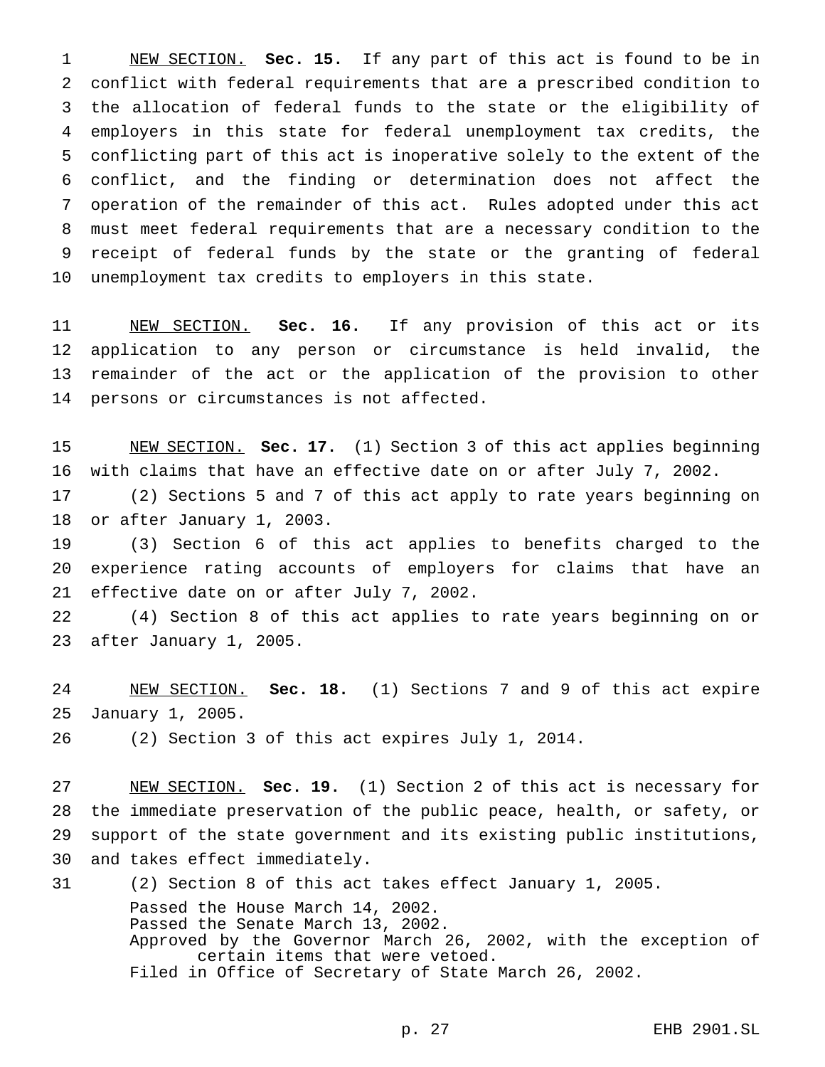NEW SECTION. **Sec. 15.** If any part of this act is found to be in conflict with federal requirements that are a prescribed condition to the allocation of federal funds to the state or the eligibility of employers in this state for federal unemployment tax credits, the conflicting part of this act is inoperative solely to the extent of the conflict, and the finding or determination does not affect the operation of the remainder of this act. Rules adopted under this act must meet federal requirements that are a necessary condition to the receipt of federal funds by the state or the granting of federal unemployment tax credits to employers in this state.

 NEW SECTION. **Sec. 16.** If any provision of this act or its application to any person or circumstance is held invalid, the remainder of the act or the application of the provision to other persons or circumstances is not affected.

 NEW SECTION. **Sec. 17.** (1) Section 3 of this act applies beginning with claims that have an effective date on or after July 7, 2002.

 (2) Sections 5 and 7 of this act apply to rate years beginning on or after January 1, 2003.

 (3) Section 6 of this act applies to benefits charged to the experience rating accounts of employers for claims that have an effective date on or after July 7, 2002.

 (4) Section 8 of this act applies to rate years beginning on or after January 1, 2005.

 NEW SECTION. **Sec. 18.** (1) Sections 7 and 9 of this act expire January 1, 2005.

(2) Section 3 of this act expires July 1, 2014.

 NEW SECTION. **Sec. 19.** (1) Section 2 of this act is necessary for the immediate preservation of the public peace, health, or safety, or support of the state government and its existing public institutions, and takes effect immediately.

 (2) Section 8 of this act takes effect January 1, 2005. Passed the House March 14, 2002. Passed the Senate March 13, 2002. Approved by the Governor March 26, 2002, with the exception of certain items that were vetoed. Filed in Office of Secretary of State March 26, 2002.